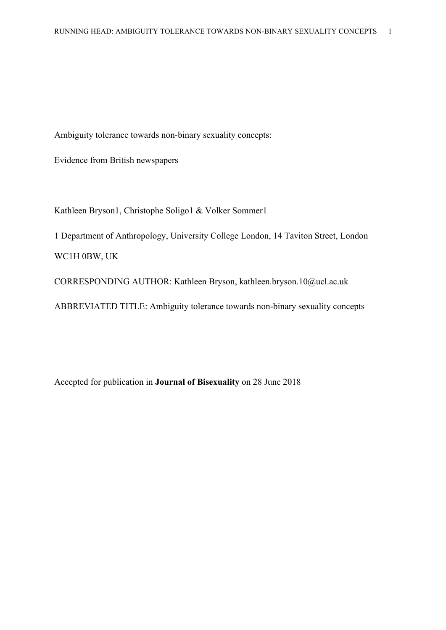Ambiguity tolerance towards non-binary sexuality concepts:

Evidence from British newspapers

Kathleen Bryson1, Christophe Soligo1 & Volker Sommer1

1 Department of Anthropology, University College London, 14 Taviton Street, London WC1H 0BW, UK

CORRESPONDING AUTHOR: Kathleen Bryson, kathleen.bryson.10@ucl.ac.uk

ABBREVIATED TITLE: Ambiguity tolerance towards non-binary sexuality concepts

Accepted for publication in **Journal of Bisexuality** on 28 June 2018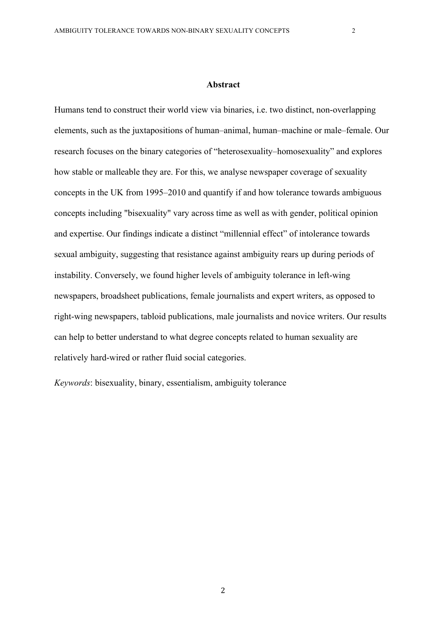#### **Abstract**

Humans tend to construct their world view via binaries, i.e. two distinct, non-overlapping elements, such as the juxtapositions of human–animal, human–machine or male–female. Our research focuses on the binary categories of "heterosexuality–homosexuality" and explores how stable or malleable they are. For this, we analyse newspaper coverage of sexuality concepts in the UK from 1995–2010 and quantify if and how tolerance towards ambiguous concepts including "bisexuality" vary across time as well as with gender, political opinion and expertise. Our findings indicate a distinct "millennial effect" of intolerance towards sexual ambiguity, suggesting that resistance against ambiguity rears up during periods of instability. Conversely, we found higher levels of ambiguity tolerance in left-wing newspapers, broadsheet publications, female journalists and expert writers, as opposed to right-wing newspapers, tabloid publications, male journalists and novice writers. Our results can help to better understand to what degree concepts related to human sexuality are relatively hard-wired or rather fluid social categories.

*Keywords*: bisexuality, binary, essentialism, ambiguity tolerance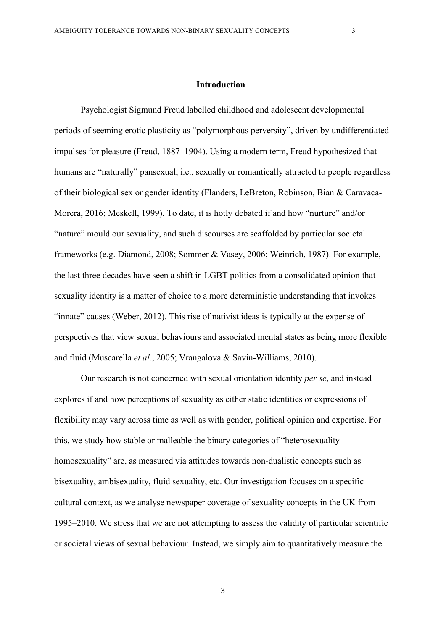#### **Introduction**

Psychologist Sigmund Freud labelled childhood and adolescent developmental periods of seeming erotic plasticity as "polymorphous perversity", driven by undifferentiated impulses for pleasure (Freud, 1887–1904). Using a modern term, Freud hypothesized that humans are "naturally" pansexual, i.e., sexually or romantically attracted to people regardless of their biological sex or gender identity (Flanders, LeBreton, Robinson, Bian & Caravaca-Morera, 2016; Meskell, 1999). To date, it is hotly debated if and how "nurture" and/or "nature" mould our sexuality, and such discourses are scaffolded by particular societal frameworks (e.g. Diamond, 2008; Sommer & Vasey, 2006; Weinrich, 1987). For example, the last three decades have seen a shift in LGBT politics from a consolidated opinion that sexuality identity is a matter of choice to a more deterministic understanding that invokes "innate" causes (Weber, 2012). This rise of nativist ideas is typically at the expense of perspectives that view sexual behaviours and associated mental states as being more flexible and fluid (Muscarella *et al.*, 2005; Vrangalova & Savin-Williams, 2010).

Our research is not concerned with sexual orientation identity *per se*, and instead explores if and how perceptions of sexuality as either static identities or expressions of flexibility may vary across time as well as with gender, political opinion and expertise. For this, we study how stable or malleable the binary categories of "heterosexuality– homosexuality" are, as measured via attitudes towards non-dualistic concepts such as bisexuality, ambisexuality, fluid sexuality, etc. Our investigation focuses on a specific cultural context, as we analyse newspaper coverage of sexuality concepts in the UK from 1995–2010. We stress that we are not attempting to assess the validity of particular scientific or societal views of sexual behaviour. Instead, we simply aim to quantitatively measure the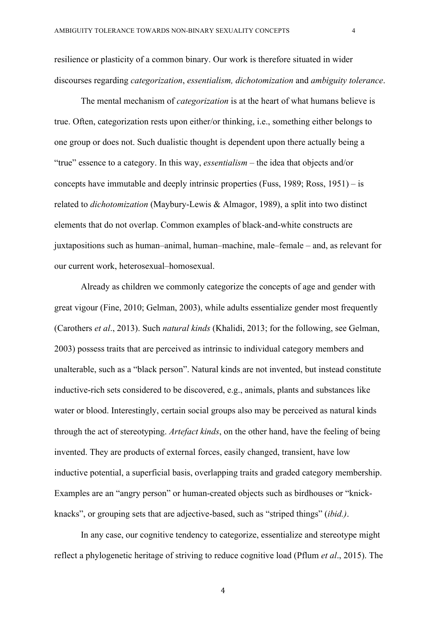resilience or plasticity of a common binary. Our work is therefore situated in wider discourses regarding *categorization*, *essentialism, dichotomization* and *ambiguity tolerance*.

The mental mechanism of *categorization* is at the heart of what humans believe is true. Often, categorization rests upon either/or thinking, i.e., something either belongs to one group or does not. Such dualistic thought is dependent upon there actually being a "true" essence to a category. In this way, *essentialism* – the idea that objects and/or concepts have immutable and deeply intrinsic properties (Fuss, 1989; Ross, 1951) – is related to *dichotomization* (Maybury-Lewis & Almagor, 1989), a split into two distinct elements that do not overlap. Common examples of black-and-white constructs are juxtapositions such as human–animal, human–machine, male–female – and, as relevant for our current work, heterosexual–homosexual.

Already as children we commonly categorize the concepts of age and gender with great vigour (Fine, 2010; Gelman, 2003), while adults essentialize gender most frequently (Carothers *et al*., 2013). Such *natural kinds* (Khalidi, 2013; for the following, see Gelman, 2003) possess traits that are perceived as intrinsic to individual category members and unalterable, such as a "black person". Natural kinds are not invented, but instead constitute inductive-rich sets considered to be discovered, e.g., animals, plants and substances like water or blood. Interestingly, certain social groups also may be perceived as natural kinds through the act of stereotyping. *Artefact kinds*, on the other hand, have the feeling of being invented. They are products of external forces, easily changed, transient, have low inductive potential, a superficial basis, overlapping traits and graded category membership. Examples are an "angry person" or human-created objects such as birdhouses or "knickknacks", or grouping sets that are adjective-based, such as "striped things" (*ibid.)*.

In any case, our cognitive tendency to categorize, essentialize and stereotype might reflect a phylogenetic heritage of striving to reduce cognitive load (Pflum *et al*., 2015). The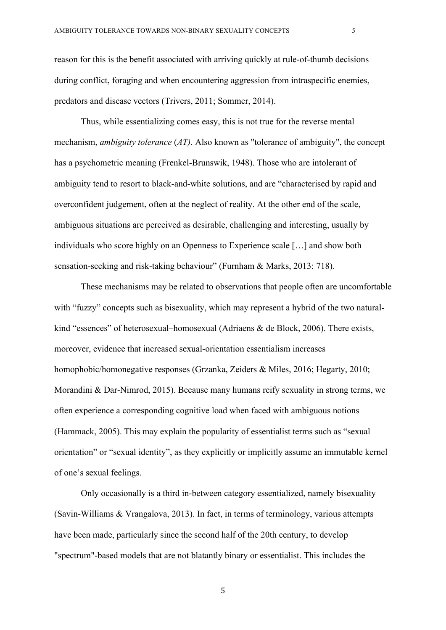reason for this is the benefit associated with arriving quickly at rule-of-thumb decisions during conflict, foraging and when encountering aggression from intraspecific enemies, predators and disease vectors (Trivers, 2011; Sommer, 2014).

Thus, while essentializing comes easy, this is not true for the reverse mental mechanism, *ambiguity tolerance* (*AT)*. Also known as "tolerance of ambiguity", the concept has a psychometric meaning (Frenkel-Brunswik, 1948). Those who are intolerant of ambiguity tend to resort to black-and-white solutions, and are "characterised by rapid and overconfident judgement, often at the neglect of reality. At the other end of the scale, ambiguous situations are perceived as desirable, challenging and interesting, usually by individuals who score highly on an Openness to Experience scale […] and show both sensation-seeking and risk-taking behaviour" (Furnham & Marks, 2013: 718).

These mechanisms may be related to observations that people often are uncomfortable with "fuzzy" concepts such as bisexuality, which may represent a hybrid of the two naturalkind "essences" of heterosexual–homosexual (Adriaens & de Block, 2006). There exists, moreover, evidence that increased sexual-orientation essentialism increases homophobic/homonegative responses (Grzanka, Zeiders & Miles, 2016; Hegarty, 2010; Morandini & Dar-Nimrod, 2015). Because many humans reify sexuality in strong terms, we often experience a corresponding cognitive load when faced with ambiguous notions (Hammack, 2005). This may explain the popularity of essentialist terms such as "sexual orientation" or "sexual identity", as they explicitly or implicitly assume an immutable kernel of one's sexual feelings.

Only occasionally is a third in-between category essentialized, namely bisexuality (Savin-Williams & Vrangalova, 2013). In fact, in terms of terminology, various attempts have been made, particularly since the second half of the 20th century, to develop "spectrum"-based models that are not blatantly binary or essentialist. This includes the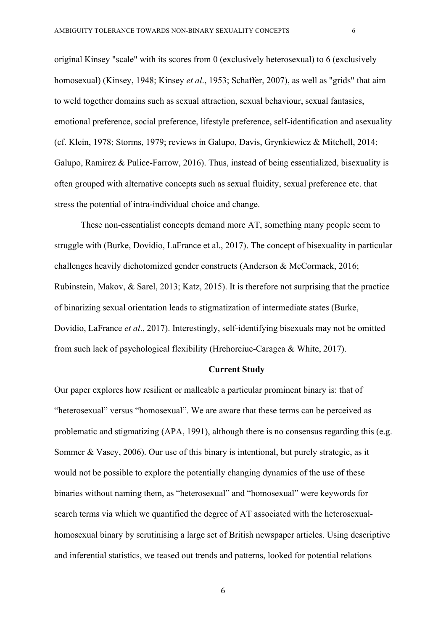original Kinsey "scale" with its scores from 0 (exclusively heterosexual) to 6 (exclusively homosexual) (Kinsey, 1948; Kinsey *et al*., 1953; Schaffer, 2007), as well as "grids" that aim to weld together domains such as sexual attraction, sexual behaviour, sexual fantasies, emotional preference, social preference, lifestyle preference, self-identification and asexuality (cf. Klein, 1978; Storms, 1979; reviews in Galupo, Davis, Grynkiewicz & Mitchell, 2014; Galupo, Ramirez & Pulice-Farrow, 2016). Thus, instead of being essentialized, bisexuality is often grouped with alternative concepts such as sexual fluidity, sexual preference etc. that stress the potential of intra-individual choice and change.

These non-essentialist concepts demand more AT, something many people seem to struggle with (Burke, Dovidio, LaFrance et al., 2017). The concept of bisexuality in particular challenges heavily dichotomized gender constructs (Anderson & McCormack, 2016; Rubinstein, Makov, & Sarel, 2013; Katz, 2015). It is therefore not surprising that the practice of binarizing sexual orientation leads to stigmatization of intermediate states (Burke, Dovidio, LaFrance *et al*., 2017). Interestingly, self-identifying bisexuals may not be omitted from such lack of psychological flexibility (Hrehorciuc-Caragea & White, 2017).

#### **Current Study**

Our paper explores how resilient or malleable a particular prominent binary is: that of "heterosexual" versus "homosexual". We are aware that these terms can be perceived as problematic and stigmatizing (APA, 1991), although there is no consensus regarding this (e.g. Sommer & Vasey, 2006). Our use of this binary is intentional, but purely strategic, as it would not be possible to explore the potentially changing dynamics of the use of these binaries without naming them, as "heterosexual" and "homosexual" were keywords for search terms via which we quantified the degree of AT associated with the heterosexualhomosexual binary by scrutinising a large set of British newspaper articles. Using descriptive and inferential statistics, we teased out trends and patterns, looked for potential relations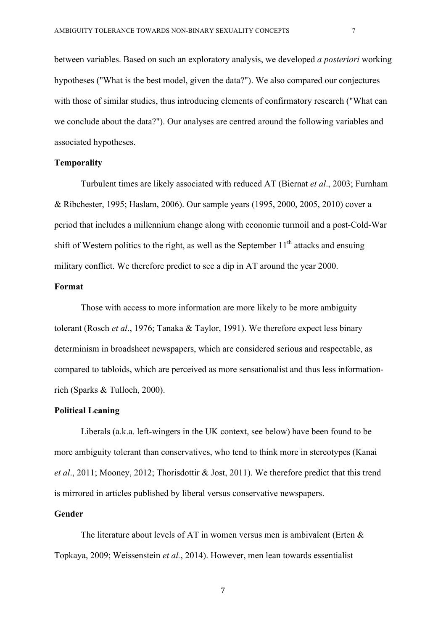between variables. Based on such an exploratory analysis, we developed *a posteriori* working hypotheses ("What is the best model, given the data?"). We also compared our conjectures with those of similar studies, thus introducing elements of confirmatory research ("What can we conclude about the data?"). Our analyses are centred around the following variables and associated hypotheses.

# **Temporality**

Turbulent times are likely associated with reduced AT (Biernat *et al*., 2003; Furnham & Ribchester, 1995; Haslam, 2006). Our sample years (1995, 2000, 2005, 2010) cover a period that includes a millennium change along with economic turmoil and a post-Cold-War shift of Western politics to the right, as well as the September  $11<sup>th</sup>$  attacks and ensuing military conflict. We therefore predict to see a dip in AT around the year 2000.

# **Format**

Those with access to more information are more likely to be more ambiguity tolerant (Rosch *et al*., 1976; Tanaka & Taylor, 1991). We therefore expect less binary determinism in broadsheet newspapers, which are considered serious and respectable, as compared to tabloids, which are perceived as more sensationalist and thus less informationrich (Sparks & Tulloch, 2000).

## **Political Leaning**

Liberals (a.k.a. left-wingers in the UK context, see below) have been found to be more ambiguity tolerant than conservatives, who tend to think more in stereotypes (Kanai *et al*., 2011; Mooney, 2012; Thorisdottir & Jost, 2011). We therefore predict that this trend is mirrored in articles published by liberal versus conservative newspapers.

# **Gender**

The literature about levels of AT in women versus men is ambivalent (Erten  $\&$ Topkaya, 2009; Weissenstein *et al.*, 2014). However, men lean towards essentialist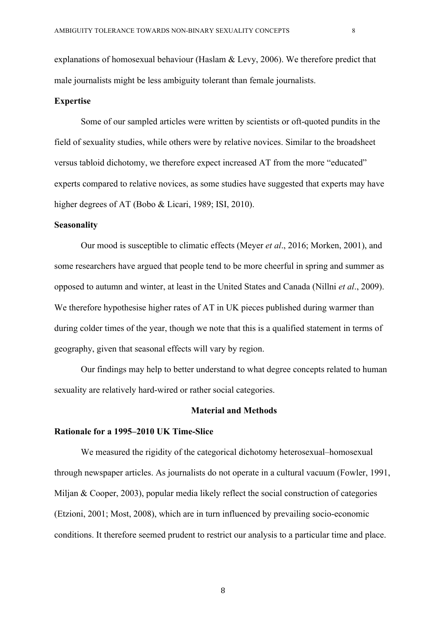explanations of homosexual behaviour (Haslam & Levy, 2006). We therefore predict that male journalists might be less ambiguity tolerant than female journalists.

#### **Expertise**

Some of our sampled articles were written by scientists or oft-quoted pundits in the field of sexuality studies, while others were by relative novices. Similar to the broadsheet versus tabloid dichotomy, we therefore expect increased AT from the more "educated" experts compared to relative novices, as some studies have suggested that experts may have higher degrees of AT (Bobo & Licari, 1989; ISI, 2010).

# **Seasonality**

Our mood is susceptible to climatic effects (Meyer *et al*., 2016; Morken, 2001), and some researchers have argued that people tend to be more cheerful in spring and summer as opposed to autumn and winter, at least in the United States and Canada (Nillni *et al*., 2009). We therefore hypothesise higher rates of AT in UK pieces published during warmer than during colder times of the year, though we note that this is a qualified statement in terms of geography, given that seasonal effects will vary by region.

Our findings may help to better understand to what degree concepts related to human sexuality are relatively hard-wired or rather social categories.

#### **Material and Methods**

#### **Rationale for a 1995–2010 UK Time-Slice**

We measured the rigidity of the categorical dichotomy heterosexual–homosexual through newspaper articles. As journalists do not operate in a cultural vacuum (Fowler, 1991, Miljan & Cooper, 2003), popular media likely reflect the social construction of categories (Etzioni, 2001; Most, 2008), which are in turn influenced by prevailing socio-economic conditions. It therefore seemed prudent to restrict our analysis to a particular time and place.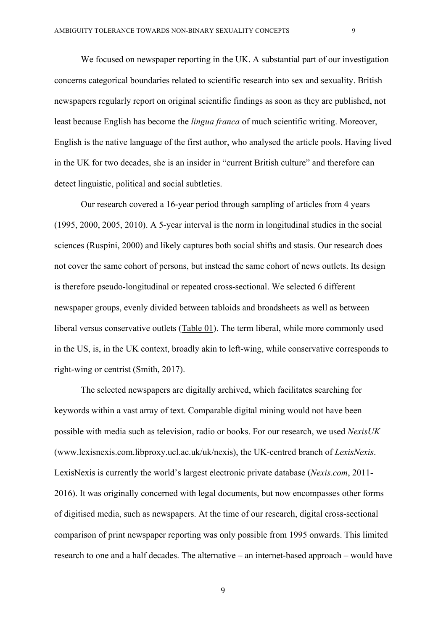We focused on newspaper reporting in the UK. A substantial part of our investigation concerns categorical boundaries related to scientific research into sex and sexuality. British newspapers regularly report on original scientific findings as soon as they are published, not least because English has become the *lingua franca* of much scientific writing. Moreover, English is the native language of the first author, who analysed the article pools. Having lived in the UK for two decades, she is an insider in "current British culture" and therefore can detect linguistic, political and social subtleties.

Our research covered a 16-year period through sampling of articles from 4 years (1995, 2000, 2005, 2010). A 5-year interval is the norm in longitudinal studies in the social sciences (Ruspini, 2000) and likely captures both social shifts and stasis. Our research does not cover the same cohort of persons, but instead the same cohort of news outlets. Its design is therefore pseudo-longitudinal or repeated cross-sectional. We selected 6 different newspaper groups, evenly divided between tabloids and broadsheets as well as between liberal versus conservative outlets (Table 01). The term liberal, while more commonly used in the US, is, in the UK context, broadly akin to left-wing, while conservative corresponds to right-wing or centrist (Smith, 2017).

The selected newspapers are digitally archived, which facilitates searching for keywords within a vast array of text. Comparable digital mining would not have been possible with media such as television, radio or books. For our research, we used *NexisUK* (www.lexisnexis.com.libproxy.ucl.ac.uk/uk/nexis), the UK-centred branch of *LexisNexis*. LexisNexis is currently the world's largest electronic private database (*Nexis.com*, 2011- 2016). It was originally concerned with legal documents, but now encompasses other forms of digitised media, such as newspapers. At the time of our research, digital cross-sectional comparison of print newspaper reporting was only possible from 1995 onwards. This limited research to one and a half decades. The alternative – an internet-based approach – would have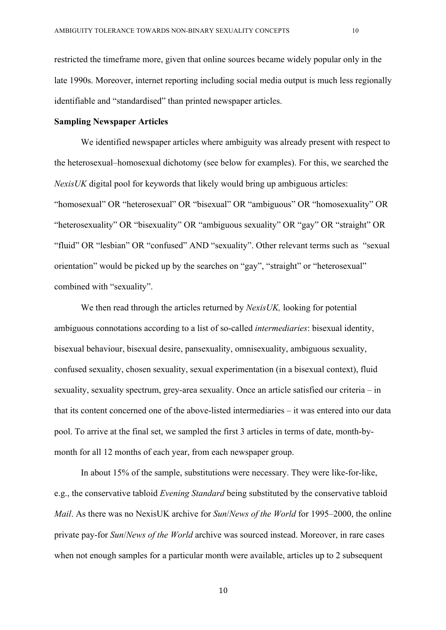restricted the timeframe more, given that online sources became widely popular only in the late 1990s. Moreover, internet reporting including social media output is much less regionally identifiable and "standardised" than printed newspaper articles.

#### **Sampling Newspaper Articles**

We identified newspaper articles where ambiguity was already present with respect to the heterosexual–homosexual dichotomy (see below for examples). For this, we searched the *NexisUK* digital pool for keywords that likely would bring up ambiguous articles: "homosexual" OR "heterosexual" OR "bisexual" OR "ambiguous" OR "homosexuality" OR "heterosexuality" OR "bisexuality" OR "ambiguous sexuality" OR "gay" OR "straight" OR "fluid" OR "lesbian" OR "confused" AND "sexuality". Other relevant terms such as "sexual orientation" would be picked up by the searches on "gay", "straight" or "heterosexual" combined with "sexuality".

We then read through the articles returned by *NexisUK,* looking for potential ambiguous connotations according to a list of so-called *intermediaries*: bisexual identity, bisexual behaviour, bisexual desire, pansexuality, omnisexuality, ambiguous sexuality, confused sexuality, chosen sexuality, sexual experimentation (in a bisexual context), fluid sexuality, sexuality spectrum, grey-area sexuality. Once an article satisfied our criteria – in that its content concerned one of the above-listed intermediaries – it was entered into our data pool. To arrive at the final set, we sampled the first 3 articles in terms of date, month-bymonth for all 12 months of each year, from each newspaper group.

In about 15% of the sample, substitutions were necessary. They were like-for-like, e.g., the conservative tabloid *Evening Standard* being substituted by the conservative tabloid *Mail*. As there was no NexisUK archive for *Sun*/*News of the World* for 1995–2000, the online private pay-for *Sun*/*News of the World* archive was sourced instead. Moreover, in rare cases when not enough samples for a particular month were available, articles up to 2 subsequent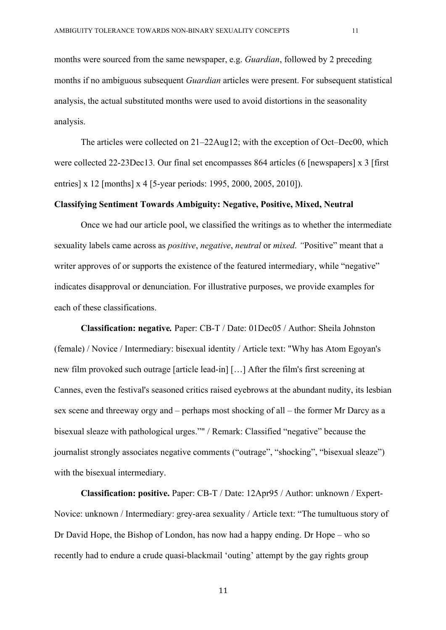months were sourced from the same newspaper, e.g. *Guardian*, followed by 2 preceding months if no ambiguous subsequent *Guardian* articles were present. For subsequent statistical analysis, the actual substituted months were used to avoid distortions in the seasonality analysis.

The articles were collected on 21–22Aug12; with the exception of Oct–Dec00, which were collected 22-23Dec13*.* Our final set encompasses 864 articles (6 [newspapers] x 3 [first entries] x 12 [months] x 4 [5-year periods: 1995, 2000, 2005, 2010]).

#### **Classifying Sentiment Towards Ambiguity: Negative, Positive, Mixed, Neutral**

Once we had our article pool, we classified the writings as to whether the intermediate sexuality labels came across as *positive*, *negative*, *neutral* or *mixed*. *"*Positive" meant that a writer approves of or supports the existence of the featured intermediary, while "negative" indicates disapproval or denunciation. For illustrative purposes, we provide examples for each of these classifications.

**Classification: negative***.* Paper: CB-T / Date: 01Dec05 / Author: Sheila Johnston (female) / Novice / Intermediary: bisexual identity / Article text: "Why has Atom Egoyan's new film provoked such outrage [article lead-in] […] After the film's first screening at Cannes, even the festival's seasoned critics raised eyebrows at the abundant nudity, its lesbian sex scene and threeway orgy and – perhaps most shocking of all – the former Mr Darcy as a bisexual sleaze with pathological urges."" / Remark: Classified "negative" because the journalist strongly associates negative comments ("outrage", "shocking", "bisexual sleaze") with the bisexual intermediary.

**Classification: positive.** Paper: CB-T / Date: 12Apr95 / Author: unknown / Expert-Novice: unknown / Intermediary: grey-area sexuality / Article text: "The tumultuous story of Dr David Hope, the Bishop of London, has now had a happy ending. Dr Hope – who so recently had to endure a crude quasi-blackmail 'outing' attempt by the gay rights group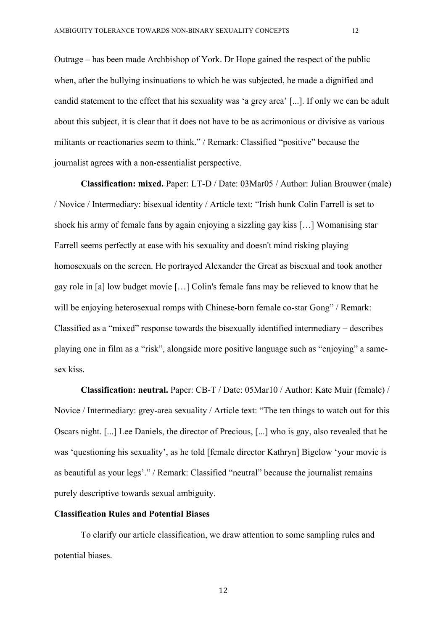militants or reactionaries seem to think." / Remark: Classified "positive" because the journalist agrees with a non-essentialist perspective.

**Classification: mixed.** Paper: LT-D / Date: 03Mar05 / Author: Julian Brouwer (male) / Novice / Intermediary: bisexual identity / Article text: "Irish hunk Colin Farrell is set to shock his army of female fans by again enjoying a sizzling gay kiss […] Womanising star Farrell seems perfectly at ease with his sexuality and doesn't mind risking playing homosexuals on the screen. He portrayed Alexander the Great as bisexual and took another gay role in [a] low budget movie […] Colin's female fans may be relieved to know that he will be enjoying heterosexual romps with Chinese-born female co-star Gong" / Remark: Classified as a "mixed" response towards the bisexually identified intermediary – describes playing one in film as a "risk", alongside more positive language such as "enjoying" a samesex kiss.

**Classification: neutral.** Paper: CB-T / Date: 05Mar10 / Author: Kate Muir (female) / Novice / Intermediary: grey-area sexuality / Article text: "The ten things to watch out for this Oscars night. [...] Lee Daniels, the director of Precious, [...] who is gay, also revealed that he was 'questioning his sexuality', as he told [female director Kathryn] Bigelow 'your movie is as beautiful as your legs'." / Remark: Classified "neutral" because the journalist remains purely descriptive towards sexual ambiguity.

# **Classification Rules and Potential Biases**

To clarify our article classification, we draw attention to some sampling rules and potential biases.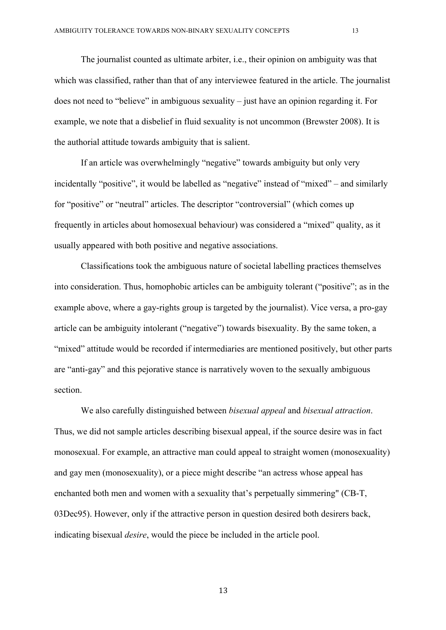The journalist counted as ultimate arbiter, i.e., their opinion on ambiguity was that which was classified, rather than that of any interviewee featured in the article. The journalist does not need to "believe" in ambiguous sexuality – just have an opinion regarding it. For example, we note that a disbelief in fluid sexuality is not uncommon (Brewster 2008). It is the authorial attitude towards ambiguity that is salient.

If an article was overwhelmingly "negative" towards ambiguity but only very incidentally "positive", it would be labelled as "negative" instead of "mixed" – and similarly for "positive" or "neutral" articles. The descriptor "controversial" (which comes up frequently in articles about homosexual behaviour) was considered a "mixed" quality, as it usually appeared with both positive and negative associations.

Classifications took the ambiguous nature of societal labelling practices themselves into consideration. Thus, homophobic articles can be ambiguity tolerant ("positive"; as in the example above, where a gay-rights group is targeted by the journalist). Vice versa, a pro-gay article can be ambiguity intolerant ("negative") towards bisexuality. By the same token, a "mixed" attitude would be recorded if intermediaries are mentioned positively, but other parts are "anti-gay" and this pejorative stance is narratively woven to the sexually ambiguous section.

We also carefully distinguished between *bisexual appeal* and *bisexual attraction*. Thus, we did not sample articles describing bisexual appeal, if the source desire was in fact monosexual. For example, an attractive man could appeal to straight women (monosexuality) and gay men (monosexuality), or a piece might describe "an actress whose appeal has enchanted both men and women with a sexuality that's perpetually simmering" (CB-T, 03Dec95). However, only if the attractive person in question desired both desirers back, indicating bisexual *desire*, would the piece be included in the article pool.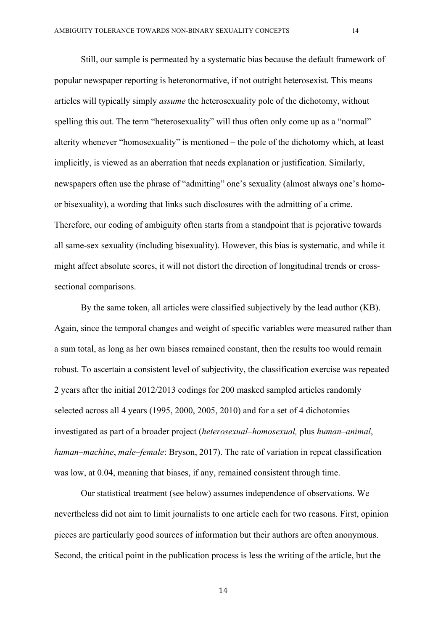Still, our sample is permeated by a systematic bias because the default framework of popular newspaper reporting is heteronormative, if not outright heterosexist. This means articles will typically simply *assume* the heterosexuality pole of the dichotomy, without spelling this out. The term "heterosexuality" will thus often only come up as a "normal" alterity whenever "homosexuality" is mentioned – the pole of the dichotomy which, at least implicitly, is viewed as an aberration that needs explanation or justification. Similarly, newspapers often use the phrase of "admitting" one's sexuality (almost always one's homoor bisexuality), a wording that links such disclosures with the admitting of a crime. Therefore, our coding of ambiguity often starts from a standpoint that is pejorative towards all same-sex sexuality (including bisexuality). However, this bias is systematic, and while it might affect absolute scores, it will not distort the direction of longitudinal trends or crosssectional comparisons.

By the same token, all articles were classified subjectively by the lead author (KB). Again, since the temporal changes and weight of specific variables were measured rather than a sum total, as long as her own biases remained constant, then the results too would remain robust. To ascertain a consistent level of subjectivity, the classification exercise was repeated 2 years after the initial 2012/2013 codings for 200 masked sampled articles randomly selected across all 4 years (1995, 2000, 2005, 2010) and for a set of 4 dichotomies investigated as part of a broader project (*heterosexual–homosexual,* plus *human–animal*, *human–machine*, *male–female*: Bryson, 2017). The rate of variation in repeat classification was low, at 0.04, meaning that biases, if any, remained consistent through time.

Our statistical treatment (see below) assumes independence of observations. We nevertheless did not aim to limit journalists to one article each for two reasons. First, opinion pieces are particularly good sources of information but their authors are often anonymous. Second, the critical point in the publication process is less the writing of the article, but the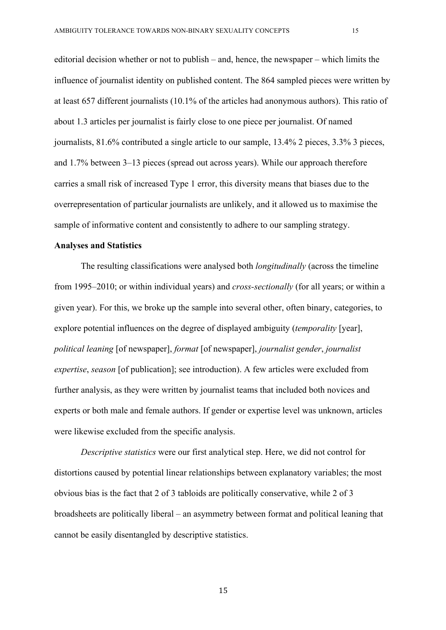editorial decision whether or not to publish – and, hence, the newspaper – which limits the influence of journalist identity on published content. The 864 sampled pieces were written by at least 657 different journalists (10.1% of the articles had anonymous authors). This ratio of about 1.3 articles per journalist is fairly close to one piece per journalist. Of named journalists, 81.6% contributed a single article to our sample, 13.4% 2 pieces, 3.3% 3 pieces, and 1.7% between 3–13 pieces (spread out across years). While our approach therefore carries a small risk of increased Type 1 error, this diversity means that biases due to the overrepresentation of particular journalists are unlikely, and it allowed us to maximise the sample of informative content and consistently to adhere to our sampling strategy.

#### **Analyses and Statistics**

The resulting classifications were analysed both *longitudinally* (across the timeline from 1995–2010; or within individual years) and *cross-sectionally* (for all years; or within a given year). For this, we broke up the sample into several other, often binary, categories, to explore potential influences on the degree of displayed ambiguity (*temporality* [year], *political leaning* [of newspaper], *format* [of newspaper], *journalist gender*, *journalist expertise*, *season* [of publication]; see introduction). A few articles were excluded from further analysis, as they were written by journalist teams that included both novices and experts or both male and female authors. If gender or expertise level was unknown, articles were likewise excluded from the specific analysis.

*Descriptive statistics* were our first analytical step. Here, we did not control for distortions caused by potential linear relationships between explanatory variables; the most obvious bias is the fact that 2 of 3 tabloids are politically conservative, while 2 of 3 broadsheets are politically liberal – an asymmetry between format and political leaning that cannot be easily disentangled by descriptive statistics.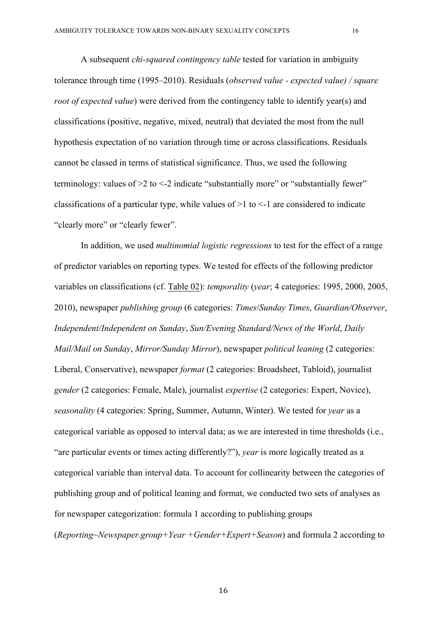A subsequent *chi-squared contingency table* tested for variation in ambiguity tolerance through time (1995–2010). Residuals (*observed value - expected value) / square root of expected value*) were derived from the contingency table to identify year(s) and classifications (positive, negative, mixed, neutral) that deviated the most from the null hypothesis expectation of no variation through time or across classifications. Residuals cannot be classed in terms of statistical significance. Thus, we used the following terminology: values of  $>2$  to  $<-2$  indicate "substantially more" or "substantially fewer" classifications of a particular type, while values of  $>1$  to  $<-1$  are considered to indicate "clearly more" or "clearly fewer".

In addition, we used *multinomial logistic regressions* to test for the effect of a range of predictor variables on reporting types. We tested for effects of the following predictor variables on classifications (cf. Table 02): *temporality* (*year*; 4 categories: 1995, 2000, 2005, 2010), newspaper *publishing group* (6 categories: *Times*/*Sunday Times*, *Guardian/Observer*, *Independent/Independent on Sunday*, *Sun/Evening Standard/News of the World*, *Daily Mail/Mail on Sunday*, *Mirror/Sunday Mirror*), newspaper *political leaning* (2 categories: Liberal, Conservative), newspaper *format* (2 categories: Broadsheet, Tabloid), journalist *gender* (2 categories: Female, Male), journalist *expertise* (2 categories: Expert, Novice), *seasonality* (4 categories: Spring, Summer, Autumn, Winter). We tested for *year* as a categorical variable as opposed to interval data; as we are interested in time thresholds (i.e., "are particular events or times acting differently?"), *year* is more logically treated as a categorical variable than interval data. To account for collinearity between the categories of publishing group and of political leaning and format, we conducted two sets of analyses as for newspaper categorization: formula 1 according to publishing groups (*Reporting~Newspaper.group+Year +Gender+Expert+Season*) and formula 2 according to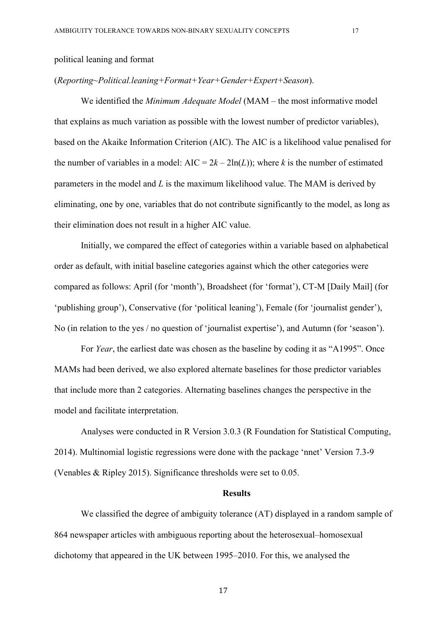### political leaning and format

#### (*Reporting~Political.leaning+Format+Year+Gender+Expert+Season*).

We identified the *Minimum Adequate Model* (MAM – the most informative model that explains as much variation as possible with the lowest number of predictor variables), based on the Akaike Information Criterion (AIC). The AIC is a likelihood value penalised for the number of variables in a model:  $AIC = 2k - 2ln(L)$ ; where *k* is the number of estimated parameters in the model and *L* is the maximum likelihood value. The MAM is derived by eliminating, one by one, variables that do not contribute significantly to the model, as long as their elimination does not result in a higher AIC value.

Initially, we compared the effect of categories within a variable based on alphabetical order as default, with initial baseline categories against which the other categories were compared as follows: April (for 'month'), Broadsheet (for 'format'), CT-M [Daily Mail] (for 'publishing group'), Conservative (for 'political leaning'), Female (for 'journalist gender'), No (in relation to the yes / no question of 'journalist expertise'), and Autumn (for 'season').

For *Year*, the earliest date was chosen as the baseline by coding it as "A1995". Once MAMs had been derived, we also explored alternate baselines for those predictor variables that include more than 2 categories. Alternating baselines changes the perspective in the model and facilitate interpretation.

Analyses were conducted in R Version 3.0.3 (R Foundation for Statistical Computing, 2014). Multinomial logistic regressions were done with the package 'nnet' Version 7.3-9 (Venables & Ripley 2015). Significance thresholds were set to 0.05.

#### **Results**

We classified the degree of ambiguity tolerance (AT) displayed in a random sample of 864 newspaper articles with ambiguous reporting about the heterosexual–homosexual dichotomy that appeared in the UK between 1995–2010. For this, we analysed the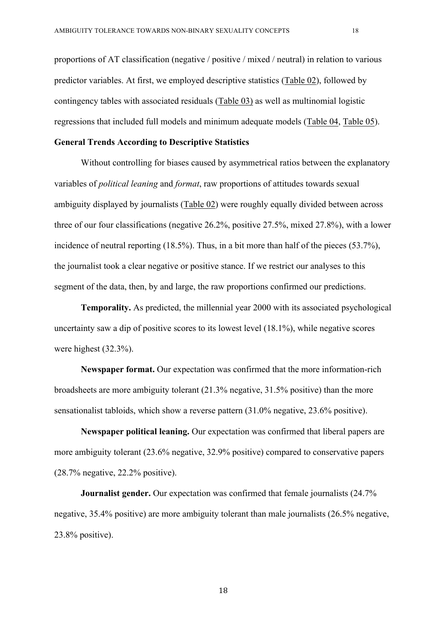proportions of AT classification (negative / positive / mixed / neutral) in relation to various predictor variables. At first, we employed descriptive statistics (Table 02), followed by contingency tables with associated residuals (Table 03) as well as multinomial logistic regressions that included full models and minimum adequate models (Table 04, Table 05).

# **General Trends According to Descriptive Statistics**

Without controlling for biases caused by asymmetrical ratios between the explanatory variables of *political leaning* and *format*, raw proportions of attitudes towards sexual ambiguity displayed by journalists (Table 02) were roughly equally divided between across three of our four classifications (negative 26.2%, positive 27.5%, mixed 27.8%), with a lower incidence of neutral reporting (18.5%). Thus, in a bit more than half of the pieces (53.7%), the journalist took a clear negative or positive stance. If we restrict our analyses to this segment of the data, then, by and large, the raw proportions confirmed our predictions.

**Temporality.** As predicted, the millennial year 2000 with its associated psychological uncertainty saw a dip of positive scores to its lowest level (18.1%), while negative scores were highest (32.3%).

**Newspaper format.** Our expectation was confirmed that the more information-rich broadsheets are more ambiguity tolerant (21.3% negative, 31.5% positive) than the more sensationalist tabloids, which show a reverse pattern (31.0% negative, 23.6% positive).

**Newspaper political leaning.** Our expectation was confirmed that liberal papers are more ambiguity tolerant (23.6% negative, 32.9% positive) compared to conservative papers (28.7% negative, 22.2% positive).

**Journalist gender.** Our expectation was confirmed that female journalists (24.7%) negative, 35.4% positive) are more ambiguity tolerant than male journalists (26.5% negative, 23.8% positive).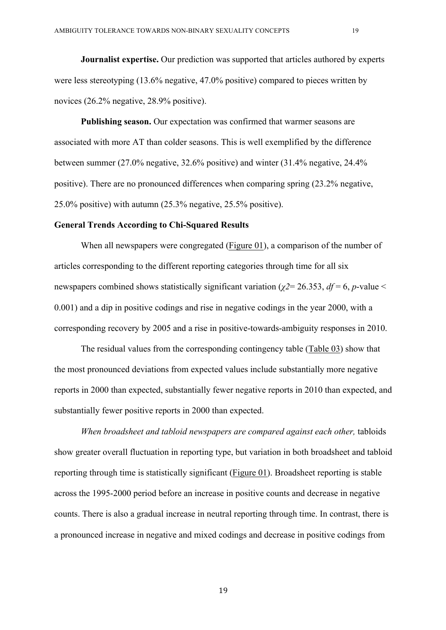**Journalist expertise.** Our prediction was supported that articles authored by experts were less stereotyping (13.6% negative, 47.0% positive) compared to pieces written by novices (26.2% negative, 28.9% positive).

**Publishing season.** Our expectation was confirmed that warmer seasons are associated with more AT than colder seasons. This is well exemplified by the difference between summer (27.0% negative, 32.6% positive) and winter (31.4% negative, 24.4% positive). There are no pronounced differences when comparing spring (23.2% negative, 25.0% positive) with autumn (25.3% negative, 25.5% positive).

# **General Trends According to Chi-Squared Results**

When all newspapers were congregated (Figure 01), a comparison of the number of articles corresponding to the different reporting categories through time for all six newspapers combined shows statistically significant variation (*χ2*= 26.353, *df* = 6, *p*-value < 0.001) and a dip in positive codings and rise in negative codings in the year 2000, with a corresponding recovery by 2005 and a rise in positive-towards-ambiguity responses in 2010.

The residual values from the corresponding contingency table (Table 03) show that the most pronounced deviations from expected values include substantially more negative reports in 2000 than expected, substantially fewer negative reports in 2010 than expected, and substantially fewer positive reports in 2000 than expected.

*When broadsheet and tabloid newspapers are compared against each other,* tabloids show greater overall fluctuation in reporting type, but variation in both broadsheet and tabloid reporting through time is statistically significant (Figure 01). Broadsheet reporting is stable across the 1995-2000 period before an increase in positive counts and decrease in negative counts. There is also a gradual increase in neutral reporting through time. In contrast, there is a pronounced increase in negative and mixed codings and decrease in positive codings from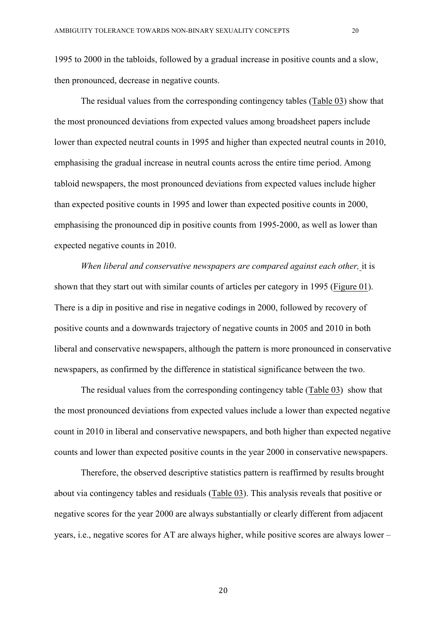1995 to 2000 in the tabloids, followed by a gradual increase in positive counts and a slow, then pronounced, decrease in negative counts.

The residual values from the corresponding contingency tables (Table 03) show that the most pronounced deviations from expected values among broadsheet papers include lower than expected neutral counts in 1995 and higher than expected neutral counts in 2010, emphasising the gradual increase in neutral counts across the entire time period. Among tabloid newspapers, the most pronounced deviations from expected values include higher than expected positive counts in 1995 and lower than expected positive counts in 2000, emphasising the pronounced dip in positive counts from 1995-2000, as well as lower than expected negative counts in 2010.

*When liberal and conservative newspapers are compared against each other,* it is shown that they start out with similar counts of articles per category in 1995 (Figure 01). There is a dip in positive and rise in negative codings in 2000, followed by recovery of positive counts and a downwards trajectory of negative counts in 2005 and 2010 in both liberal and conservative newspapers, although the pattern is more pronounced in conservative newspapers, as confirmed by the difference in statistical significance between the two.

The residual values from the corresponding contingency table (Table 03) show that the most pronounced deviations from expected values include a lower than expected negative count in 2010 in liberal and conservative newspapers, and both higher than expected negative counts and lower than expected positive counts in the year 2000 in conservative newspapers.

Therefore, the observed descriptive statistics pattern is reaffirmed by results brought about via contingency tables and residuals (Table 03). This analysis reveals that positive or negative scores for the year 2000 are always substantially or clearly different from adjacent years, i.e., negative scores for AT are always higher, while positive scores are always lower –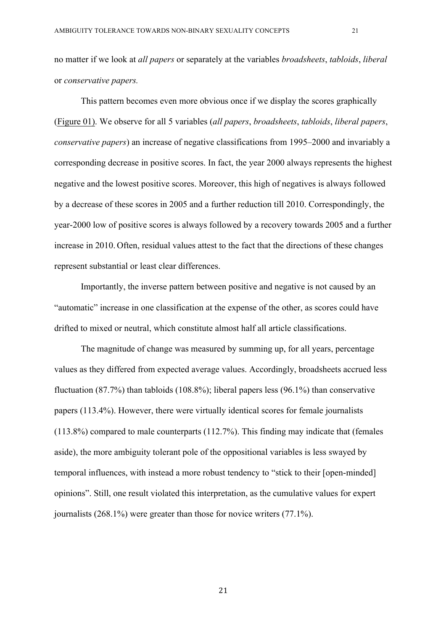no matter if we look at *all papers* or separately at the variables *broadsheets*, *tabloids*, *liberal*  or *conservative papers.*

This pattern becomes even more obvious once if we display the scores graphically (Figure 01). We observe for all 5 variables (*all papers*, *broadsheets*, *tabloids*, *liberal papers*, *conservative papers*) an increase of negative classifications from 1995–2000 and invariably a corresponding decrease in positive scores. In fact, the year 2000 always represents the highest negative and the lowest positive scores. Moreover, this high of negatives is always followed by a decrease of these scores in 2005 and a further reduction till 2010. Correspondingly, the year-2000 low of positive scores is always followed by a recovery towards 2005 and a further increase in 2010. Often, residual values attest to the fact that the directions of these changes represent substantial or least clear differences.

Importantly, the inverse pattern between positive and negative is not caused by an "automatic" increase in one classification at the expense of the other, as scores could have drifted to mixed or neutral, which constitute almost half all article classifications.

The magnitude of change was measured by summing up, for all years, percentage values as they differed from expected average values. Accordingly, broadsheets accrued less fluctuation (87.7%) than tabloids (108.8%); liberal papers less (96.1%) than conservative papers (113.4%). However, there were virtually identical scores for female journalists (113.8%) compared to male counterparts (112.7%). This finding may indicate that (females aside), the more ambiguity tolerant pole of the oppositional variables is less swayed by temporal influences, with instead a more robust tendency to "stick to their [open-minded] opinions". Still, one result violated this interpretation, as the cumulative values for expert journalists (268.1%) were greater than those for novice writers (77.1%).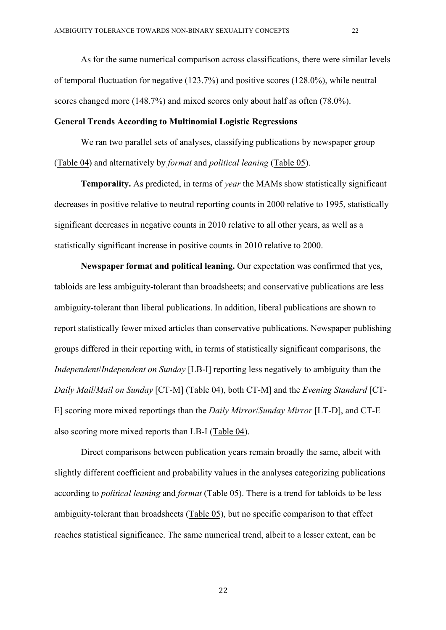As for the same numerical comparison across classifications, there were similar levels of temporal fluctuation for negative (123.7%) and positive scores (128.0%), while neutral scores changed more (148.7%) and mixed scores only about half as often (78.0%).

#### **General Trends According to Multinomial Logistic Regressions**

We ran two parallel sets of analyses, classifying publications by newspaper group (Table 04) and alternatively by *format* and *political leaning* (Table 05).

**Temporality.** As predicted, in terms of *year* the MAMs show statistically significant decreases in positive relative to neutral reporting counts in 2000 relative to 1995, statistically significant decreases in negative counts in 2010 relative to all other years, as well as a statistically significant increase in positive counts in 2010 relative to 2000.

**Newspaper format and political leaning.** Our expectation was confirmed that yes, tabloids are less ambiguity-tolerant than broadsheets; and conservative publications are less ambiguity-tolerant than liberal publications. In addition, liberal publications are shown to report statistically fewer mixed articles than conservative publications. Newspaper publishing groups differed in their reporting with, in terms of statistically significant comparisons, the *Independent*/*Independent on Sunday* [LB-I] reporting less negatively to ambiguity than the *Daily Mail*/*Mail on Sunday* [CT-M] (Table 04), both CT-M] and the *Evening Standard* [CT-E] scoring more mixed reportings than the *Daily Mirror*/*Sunday Mirror* [LT-D], and CT-E also scoring more mixed reports than LB-I (Table 04).

Direct comparisons between publication years remain broadly the same, albeit with slightly different coefficient and probability values in the analyses categorizing publications according to *political leaning* and *format* (Table 05). There is a trend for tabloids to be less ambiguity-tolerant than broadsheets (Table 05), but no specific comparison to that effect reaches statistical significance. The same numerical trend, albeit to a lesser extent, can be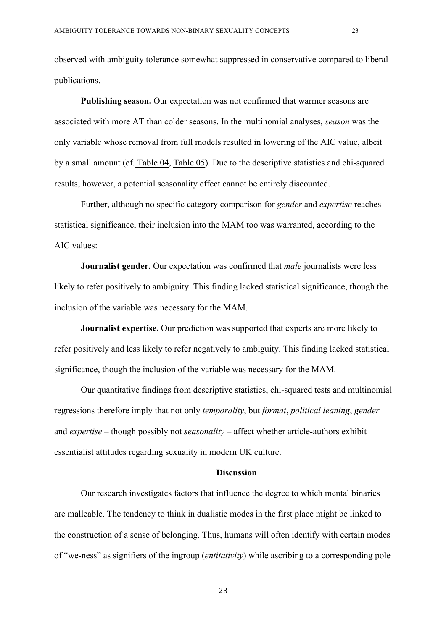observed with ambiguity tolerance somewhat suppressed in conservative compared to liberal publications.

**Publishing season.** Our expectation was not confirmed that warmer seasons are associated with more AT than colder seasons. In the multinomial analyses, *season* was the only variable whose removal from full models resulted in lowering of the AIC value, albeit by a small amount (cf. Table 04, Table 05). Due to the descriptive statistics and chi-squared results, however, a potential seasonality effect cannot be entirely discounted.

Further, although no specific category comparison for *gender* and *expertise* reaches statistical significance, their inclusion into the MAM too was warranted, according to the AIC values:

**Journalist gender.** Our expectation was confirmed that *male* journalists were less likely to refer positively to ambiguity. This finding lacked statistical significance, though the inclusion of the variable was necessary for the MAM.

**Journalist expertise.** Our prediction was supported that experts are more likely to refer positively and less likely to refer negatively to ambiguity. This finding lacked statistical significance, though the inclusion of the variable was necessary for the MAM.

Our quantitative findings from descriptive statistics, chi-squared tests and multinomial regressions therefore imply that not only *temporality*, but *format*, *political leaning*, *gender* and *expertise* – though possibly not *seasonality* – affect whether article-authors exhibit essentialist attitudes regarding sexuality in modern UK culture.

# **Discussion**

Our research investigates factors that influence the degree to which mental binaries are malleable. The tendency to think in dualistic modes in the first place might be linked to the construction of a sense of belonging. Thus, humans will often identify with certain modes of "we-ness" as signifiers of the ingroup (*entitativity*) while ascribing to a corresponding pole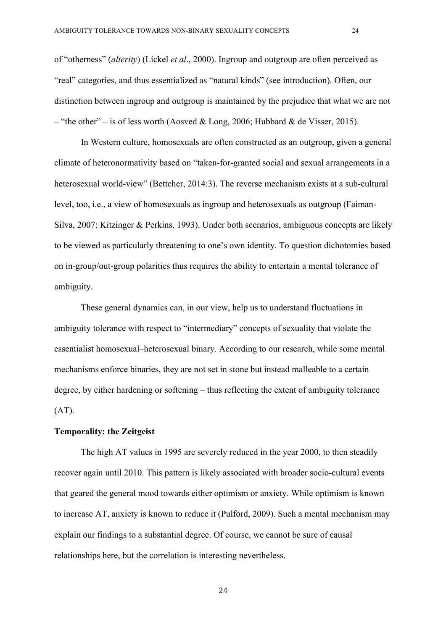of "otherness" (*alterity*) (Lickel *et al*., 2000). Ingroup and outgroup are often perceived as "real" categories, and thus essentialized as "natural kinds" (see introduction). Often, our distinction between ingroup and outgroup is maintained by the prejudice that what we are not – "the other" – is of less worth (Aosved & Long, 2006; Hubbard & de Visser, 2015).

In Western culture, homosexuals are often constructed as an outgroup, given a general climate of heteronormativity based on "taken-for-granted social and sexual arrangements in a heterosexual world-view" (Bettcher, 2014:3). The reverse mechanism exists at a sub-cultural level, too, i.e., a view of homosexuals as ingroup and heterosexuals as outgroup (Faiman-Silva, 2007; Kitzinger & Perkins, 1993). Under both scenarios, ambiguous concepts are likely to be viewed as particularly threatening to one's own identity. To question dichotomies based on in-group/out-group polarities thus requires the ability to entertain a mental tolerance of ambiguity.

These general dynamics can, in our view, help us to understand fluctuations in ambiguity tolerance with respect to "intermediary" concepts of sexuality that violate the essentialist homosexual–heterosexual binary. According to our research, while some mental mechanisms enforce binaries, they are not set in stone but instead malleable to a certain degree, by either hardening or softening – thus reflecting the extent of ambiguity tolerance  $(AT)$ .

# **Temporality: the Zeitgeist**

The high AT values in 1995 are severely reduced in the year 2000, to then steadily recover again until 2010. This pattern is likely associated with broader socio-cultural events that geared the general mood towards either optimism or anxiety. While optimism is known to increase AT, anxiety is known to reduce it (Pulford, 2009). Such a mental mechanism may explain our findings to a substantial degree. Of course, we cannot be sure of causal relationships here, but the correlation is interesting nevertheless.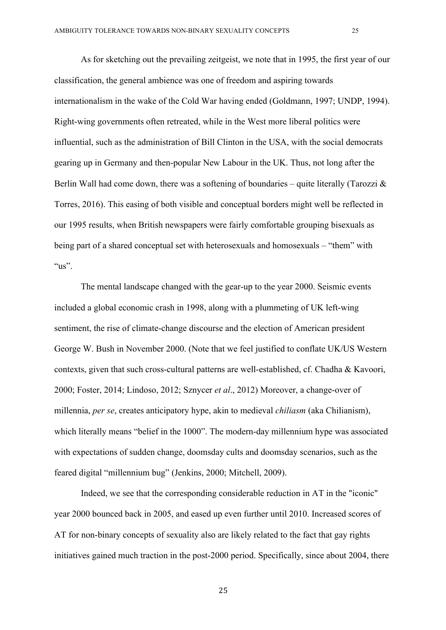As for sketching out the prevailing zeitgeist, we note that in 1995, the first year of our classification, the general ambience was one of freedom and aspiring towards internationalism in the wake of the Cold War having ended (Goldmann, 1997; UNDP, 1994). Right-wing governments often retreated, while in the West more liberal politics were influential, such as the administration of Bill Clinton in the USA, with the social democrats gearing up in Germany and then-popular New Labour in the UK. Thus, not long after the Berlin Wall had come down, there was a softening of boundaries – quite literally (Tarozzi  $\&$ Torres, 2016). This easing of both visible and conceptual borders might well be reflected in our 1995 results, when British newspapers were fairly comfortable grouping bisexuals as being part of a shared conceptual set with heterosexuals and homosexuals – "them" with " $us$ ".

The mental landscape changed with the gear-up to the year 2000. Seismic events included a global economic crash in 1998, along with a plummeting of UK left-wing sentiment, the rise of climate-change discourse and the election of American president George W. Bush in November 2000. (Note that we feel justified to conflate UK/US Western contexts, given that such cross-cultural patterns are well-established, cf. Chadha & Kavoori, 2000; Foster, 2014; Lindoso, 2012; Sznycer *et al*., 2012) Moreover, a change-over of millennia, *per se*, creates anticipatory hype, akin to medieval *chiliasm* (aka Chilianism), which literally means "belief in the 1000". The modern-day millennium hype was associated with expectations of sudden change, doomsday cults and doomsday scenarios, such as the feared digital "millennium bug" (Jenkins, 2000; Mitchell, 2009).

Indeed, we see that the corresponding considerable reduction in AT in the "iconic" year 2000 bounced back in 2005, and eased up even further until 2010. Increased scores of AT for non-binary concepts of sexuality also are likely related to the fact that gay rights initiatives gained much traction in the post-2000 period. Specifically, since about 2004, there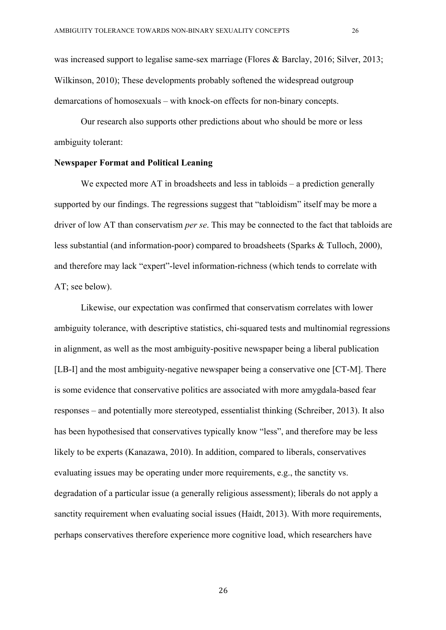was increased support to legalise same-sex marriage (Flores & Barclay, 2016; Silver, 2013; Wilkinson, 2010); These developments probably softened the widespread outgroup demarcations of homosexuals – with knock-on effects for non-binary concepts.

Our research also supports other predictions about who should be more or less ambiguity tolerant:

# **Newspaper Format and Political Leaning**

We expected more AT in broadsheets and less in tabloids – a prediction generally supported by our findings. The regressions suggest that "tabloidism" itself may be more a driver of low AT than conservatism *per se*. This may be connected to the fact that tabloids are less substantial (and information-poor) compared to broadsheets (Sparks & Tulloch, 2000), and therefore may lack "expert"-level information-richness (which tends to correlate with AT; see below).

Likewise, our expectation was confirmed that conservatism correlates with lower ambiguity tolerance, with descriptive statistics, chi-squared tests and multinomial regressions in alignment, as well as the most ambiguity-positive newspaper being a liberal publication [LB-I] and the most ambiguity-negative newspaper being a conservative one [CT-M]. There is some evidence that conservative politics are associated with more amygdala-based fear responses – and potentially more stereotyped, essentialist thinking (Schreiber, 2013). It also has been hypothesised that conservatives typically know "less", and therefore may be less likely to be experts (Kanazawa, 2010). In addition, compared to liberals, conservatives evaluating issues may be operating under more requirements, e.g., the sanctity vs. degradation of a particular issue (a generally religious assessment); liberals do not apply a sanctity requirement when evaluating social issues (Haidt, 2013). With more requirements, perhaps conservatives therefore experience more cognitive load, which researchers have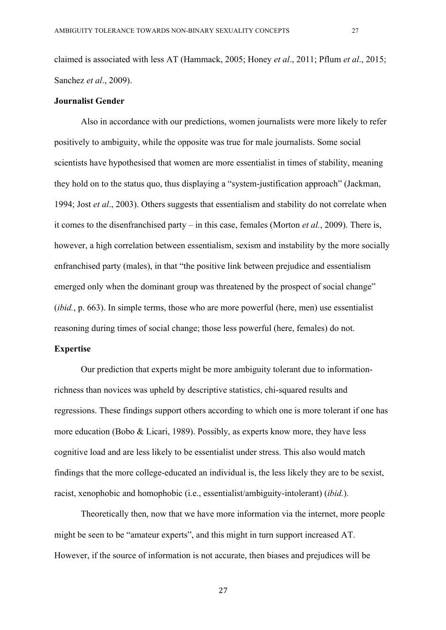claimed is associated with less AT (Hammack, 2005; Honey *et al*., 2011; Pflum *et al*., 2015; Sanchez *et al*., 2009).

#### **Journalist Gender**

Also in accordance with our predictions, women journalists were more likely to refer positively to ambiguity, while the opposite was true for male journalists. Some social scientists have hypothesised that women are more essentialist in times of stability, meaning they hold on to the status quo, thus displaying a "system-justification approach" (Jackman, 1994; Jost *et al*., 2003). Others suggests that essentialism and stability do not correlate when it comes to the disenfranchised party – in this case, females (Morton *et al.*, 2009). There is, however, a high correlation between essentialism, sexism and instability by the more socially enfranchised party (males), in that "the positive link between prejudice and essentialism emerged only when the dominant group was threatened by the prospect of social change" (*ibid.*, p. 663). In simple terms, those who are more powerful (here, men) use essentialist reasoning during times of social change; those less powerful (here, females) do not.

### **Expertise**

Our prediction that experts might be more ambiguity tolerant due to informationrichness than novices was upheld by descriptive statistics, chi-squared results and regressions. These findings support others according to which one is more tolerant if one has more education (Bobo & Licari, 1989). Possibly, as experts know more, they have less cognitive load and are less likely to be essentialist under stress. This also would match findings that the more college-educated an individual is, the less likely they are to be sexist, racist, xenophobic and homophobic (i.e., essentialist/ambiguity-intolerant) (*ibid.*).

Theoretically then, now that we have more information via the internet, more people might be seen to be "amateur experts", and this might in turn support increased AT. However, if the source of information is not accurate, then biases and prejudices will be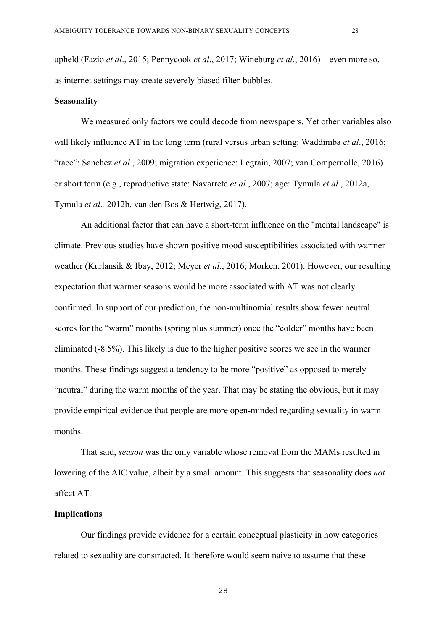upheld (Fazio *et al*., 2015; Pennycook *et al*., 2017; Wineburg *et al*., 2016) – even more so, as internet settings may create severely biased filter-bubbles.

#### **Seasonality**

We measured only factors we could decode from newspapers. Yet other variables also will likely influence AT in the long term (rural versus urban setting: Waddimba *et al*., 2016; "race": Sanchez *et al*., 2009; migration experience: Legrain, 2007; van Compernolle, 2016) or short term (e.g., reproductive state: Navarrete *et al*., 2007; age: Tymula *et al.*, 2012a, Tymula *et al*.*,* 2012b, van den Bos & Hertwig, 2017).

An additional factor that can have a short-term influence on the "mental landscape" is climate. Previous studies have shown positive mood susceptibilities associated with warmer weather (Kurlansik & Ibay, 2012; Meyer *et al*., 2016; Morken, 2001). However, our resulting expectation that warmer seasons would be more associated with AT was not clearly confirmed. In support of our prediction, the non-multinomial results show fewer neutral scores for the "warm" months (spring plus summer) once the "colder" months have been eliminated (-8.5%). This likely is due to the higher positive scores we see in the warmer months. These findings suggest a tendency to be more "positive" as opposed to merely "neutral" during the warm months of the year. That may be stating the obvious, but it may provide empirical evidence that people are more open-minded regarding sexuality in warm months.

That said, *season* was the only variable whose removal from the MAMs resulted in lowering of the AIC value, albeit by a small amount. This suggests that seasonality does *not* affect AT.

### **Implications**

Our findings provide evidence for a certain conceptual plasticity in how categories related to sexuality are constructed. It therefore would seem naive to assume that these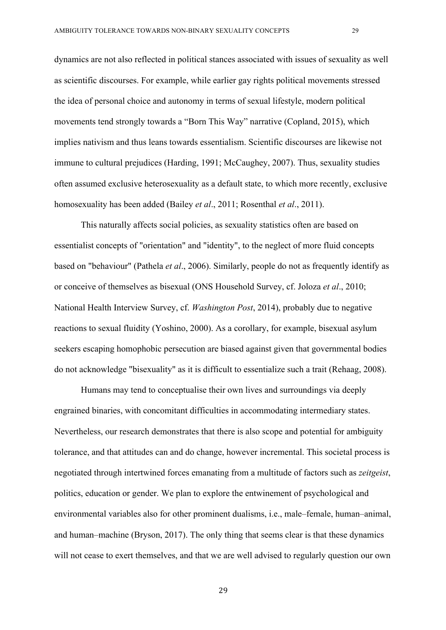dynamics are not also reflected in political stances associated with issues of sexuality as well as scientific discourses. For example, while earlier gay rights political movements stressed the idea of personal choice and autonomy in terms of sexual lifestyle, modern political movements tend strongly towards a "Born This Way" narrative (Copland, 2015), which implies nativism and thus leans towards essentialism. Scientific discourses are likewise not immune to cultural prejudices (Harding, 1991; McCaughey, 2007). Thus, sexuality studies often assumed exclusive heterosexuality as a default state, to which more recently, exclusive homosexuality has been added (Bailey *et al*., 2011; Rosenthal *et al*., 2011).

This naturally affects social policies, as sexuality statistics often are based on essentialist concepts of "orientation" and "identity", to the neglect of more fluid concepts based on "behaviour" (Pathela *et al*., 2006). Similarly, people do not as frequently identify as or conceive of themselves as bisexual (ONS Household Survey, cf. Joloza *et al*., 2010; National Health Interview Survey, cf. *Washington Post*, 2014), probably due to negative reactions to sexual fluidity (Yoshino, 2000). As a corollary, for example, bisexual asylum seekers escaping homophobic persecution are biased against given that governmental bodies do not acknowledge "bisexuality" as it is difficult to essentialize such a trait (Rehaag, 2008).

Humans may tend to conceptualise their own lives and surroundings via deeply engrained binaries, with concomitant difficulties in accommodating intermediary states. Nevertheless, our research demonstrates that there is also scope and potential for ambiguity tolerance, and that attitudes can and do change, however incremental. This societal process is negotiated through intertwined forces emanating from a multitude of factors such as *zeitgeist*, politics, education or gender. We plan to explore the entwinement of psychological and environmental variables also for other prominent dualisms, i.e., male–female, human–animal, and human–machine (Bryson, 2017). The only thing that seems clear is that these dynamics will not cease to exert themselves, and that we are well advised to regularly question our own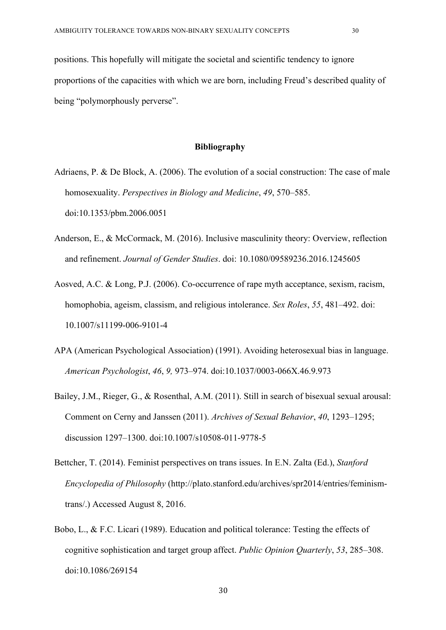positions. This hopefully will mitigate the societal and scientific tendency to ignore proportions of the capacities with which we are born, including Freud's described quality of being "polymorphously perverse".

#### **Bibliography**

- Adriaens, P. & De Block, A. (2006). The evolution of a social construction: The case of male homosexuality. *Perspectives in Biology and Medicine*, *49*, 570–585. doi:10.1353/pbm.2006.0051
- Anderson, E., & McCormack, M. (2016). Inclusive masculinity theory: Overview, reflection and refinement. *Journal of Gender Studies*. doi: 10.1080/09589236.2016.1245605
- Aosved, A.C. & Long, P.J. (2006). Co-occurrence of rape myth acceptance, sexism, racism, homophobia, ageism, classism, and religious intolerance. *Sex Roles*, *55*, 481–492. doi: 10.1007/s11199-006-9101-4
- APA (American Psychological Association) (1991). Avoiding heterosexual bias in language. *American Psychologist*, *46*, *9,* 973–974. doi:10.1037/0003-066X.46.9.973
- Bailey, J.M., Rieger, G., & Rosenthal, A.M. (2011). Still in search of bisexual sexual arousal: Comment on Cerny and Janssen (2011). *Archives of Sexual Behavior*, *40*, 1293–1295; discussion 1297–1300. doi:10.1007/s10508-011-9778-5
- Bettcher, T. (2014). Feminist perspectives on trans issues. In E.N. Zalta (Ed.), *Stanford Encyclopedia of Philosophy* (http://plato.stanford.edu/archives/spr2014/entries/feminismtrans/.) Accessed August 8, 2016.
- Bobo, L., & F.C. Licari (1989). Education and political tolerance: Testing the effects of cognitive sophistication and target group affect. *Public Opinion Quarterly*, *53*, 285–308. doi:10.1086/269154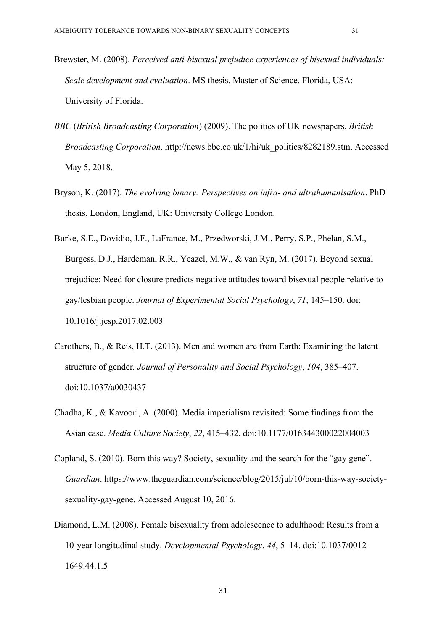- Brewster, M. (2008). *Perceived anti-bisexual prejudice experiences of bisexual individuals: Scale development and evaluation*. MS thesis, Master of Science. Florida, USA: University of Florida.
- *BBC* (*British Broadcasting Corporation*) (2009). The politics of UK newspapers. *British Broadcasting Corporation*. http://news.bbc.co.uk/1/hi/uk\_politics/8282189.stm. Accessed May 5, 2018.
- Bryson, K. (2017). *The evolving binary: Perspectives on infra- and ultrahumanisation*. PhD thesis. London, England, UK: University College London.
- Burke, S.E., Dovidio, J.F., LaFrance, M., Przedworski, J.M., Perry, S.P., Phelan, S.M., Burgess, D.J., Hardeman, R.R., Yeazel, M.W., & van Ryn, M. (2017). Beyond sexual prejudice: Need for closure predicts negative attitudes toward bisexual people relative to gay/lesbian people. *Journal of Experimental Social Psychology*, *71*, 145–150. doi: 10.1016/j.jesp.2017.02.003
- Carothers, B., & Reis, H.T. (2013). Men and women are from Earth: Examining the latent structure of gender*. Journal of Personality and Social Psychology*, *104*, 385–407. doi:10.1037/a0030437
- Chadha, K., & Kavoori, A. (2000). Media imperialism revisited: Some findings from the Asian case. *Media Culture Society*, *22*, 415–432. doi:10.1177/016344300022004003
- Copland, S. (2010). Born this way? Society, sexuality and the search for the "gay gene". *Guardian*. https://www.theguardian.com/science/blog/2015/jul/10/born-this-way-societysexuality-gay-gene. Accessed August 10, 2016.
- Diamond, L.M. (2008). Female bisexuality from adolescence to adulthood: Results from a 10-year longitudinal study. *Developmental Psychology*, *44*, 5–14. doi:10.1037/0012- 1649.44.1.5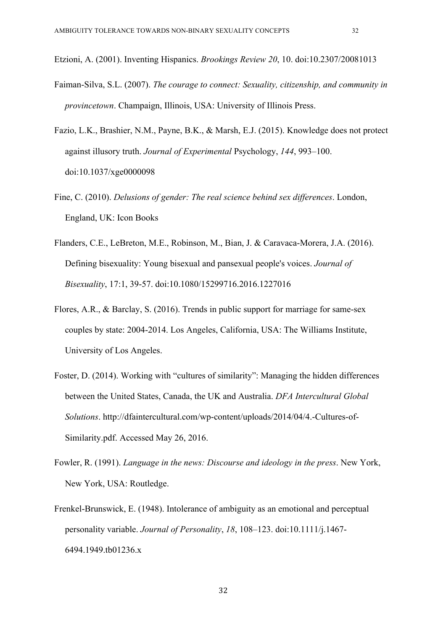Etzioni, A. (2001). Inventing Hispanics. *Brookings Review 20*, 10. doi:10.2307/20081013

- Faiman-Silva, S.L. (2007). *The courage to connect: Sexuality, citizenship, and community in provincetown*. Champaign, Illinois, USA: University of Illinois Press.
- Fazio, L.K., Brashier, N.M., Payne, B.K., & Marsh, E.J. (2015). Knowledge does not protect against illusory truth. *Journal of Experimental* Psychology, *144*, 993–100. doi:10.1037/xge0000098
- Fine, C. (2010). *Delusions of gender: The real science behind sex differences*. London, England, UK: Icon Books
- Flanders, C.E., LeBreton, M.E., Robinson, M., Bian, J. & Caravaca-Morera, J.A. (2016). Defining bisexuality: Young bisexual and pansexual people's voices. *Journal of Bisexuality*, 17:1, 39-57. doi:10.1080/15299716.2016.1227016
- Flores, A.R., & Barclay, S. (2016). Trends in public support for marriage for same-sex couples by state: 2004-2014. Los Angeles, California, USA: The Williams Institute, University of Los Angeles.
- Foster, D. (2014). Working with "cultures of similarity": Managing the hidden differences between the United States, Canada, the UK and Australia. *DFA Intercultural Global Solutions*. http://dfaintercultural.com/wp-content/uploads/2014/04/4.-Cultures-of-Similarity.pdf. Accessed May 26, 2016.
- Fowler, R. (1991). *Language in the news: Discourse and ideology in the press*. New York, New York, USA: Routledge.
- Frenkel-Brunswick, E. (1948). Intolerance of ambiguity as an emotional and perceptual personality variable. *Journal of Personality*, *18*, 108–123. doi:10.1111/j.1467- 6494.1949.tb01236.x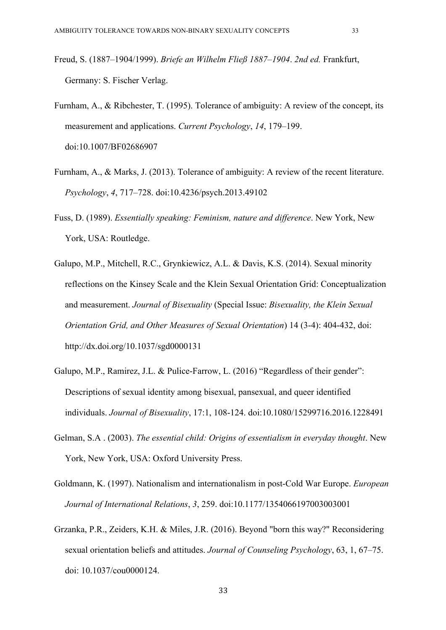- Freud, S. (1887–1904/1999). *Briefe an Wilhelm Fließ 1887–1904*. *2nd ed.* Frankfurt, Germany: S. Fischer Verlag.
- Furnham, A., & Ribchester, T. (1995). Tolerance of ambiguity: A review of the concept, its measurement and applications. *Current Psychology*, *14*, 179–199. doi:10.1007/BF02686907
- Furnham, A., & Marks, J. (2013). Tolerance of ambiguity: A review of the recent literature. *Psychology*, *4*, 717–728. doi:10.4236/psych.2013.49102
- Fuss, D. (1989). *Essentially speaking: Feminism, nature and difference*. New York, New York, USA: Routledge.
- Galupo, M.P., Mitchell, R.C., Grynkiewicz, A.L. & Davis, K.S. (2014). Sexual minority reflections on the Kinsey Scale and the Klein Sexual Orientation Grid: Conceptualization and measurement. *Journal of Bisexuality* (Special Issue: *Bisexuality, the Klein Sexual Orientation Grid, and Other Measures of Sexual Orientation*) 14 (3-4): 404-432, doi: http://dx.doi.org/10.1037/sgd0000131
- Galupo, M.P., Ramirez, J.L. & Pulice-Farrow, L. (2016) "Regardless of their gender": Descriptions of sexual identity among bisexual, pansexual, and queer identified individuals. *Journal of Bisexuality*, 17:1, 108-124. doi:10.1080/15299716.2016.1228491
- Gelman, S.A . (2003). *The essential child: Origins of essentialism in everyday thought*. New York, New York, USA: Oxford University Press.
- Goldmann, K. (1997). Nationalism and internationalism in post-Cold War Europe. *European Journal of International Relations*, *3*, 259. doi:10.1177/1354066197003003001
- Grzanka, P.R., Zeiders, K.H. & Miles, J.R. (2016). Beyond "born this way?" Reconsidering sexual orientation beliefs and attitudes. *Journal of Counseling Psychology*, 63, 1, 67–75. doi: 10.1037/cou0000124.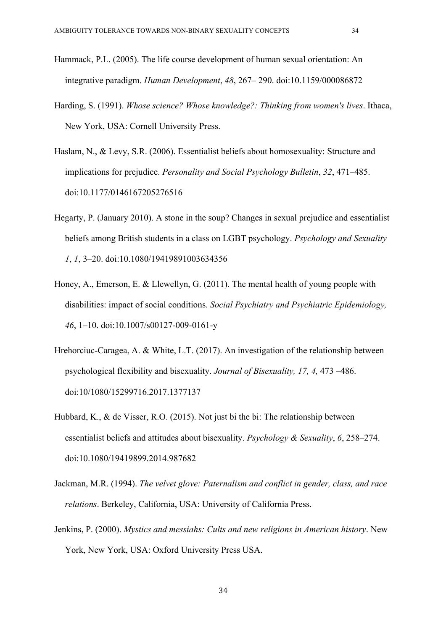- Hammack, P.L. (2005). The life course development of human sexual orientation: An integrative paradigm. *Human Development*, *48*, 267– 290. doi:10.1159/000086872
- Harding, S. (1991). *Whose science? Whose knowledge?: Thinking from women's lives*. Ithaca, New York, USA: Cornell University Press.
- Haslam, N., & Levy, S.R. (2006). Essentialist beliefs about homosexuality: Structure and implications for prejudice. *Personality and Social Psychology Bulletin*, *32*, 471–485. doi:10.1177/0146167205276516
- Hegarty, P. (January 2010). A stone in the soup? Changes in sexual prejudice and essentialist beliefs among British students in a class on LGBT psychology. *Psychology and Sexuality 1*, *1*, 3–20. doi:10.1080/19419891003634356
- Honey, A., Emerson, E. & Llewellyn, G. (2011). The mental health of young people with disabilities: impact of social conditions. *Social Psychiatry and Psychiatric Epidemiology, 46*, 1–10. doi:10.1007/s00127-009-0161-y
- Hrehorciuc-Caragea, A. & White, L.T. (2017). An investigation of the relationship between psychological flexibility and bisexuality. *Journal of Bisexuality, 17, 4,* 473 –486. doi:10/1080/15299716.2017.1377137
- Hubbard, K., & de Visser, R.O. (2015). Not just bi the bi: The relationship between essentialist beliefs and attitudes about bisexuality. *Psychology & Sexuality*, *6*, 258–274. doi:10.1080/19419899.2014.987682
- Jackman, M.R. (1994). *The velvet glove: Paternalism and conflict in gender, class, and race relations*. Berkeley, California, USA: University of California Press.
- Jenkins, P. (2000). *Mystics and messiahs: Cults and new religions in American history*. New York, New York, USA: Oxford University Press USA.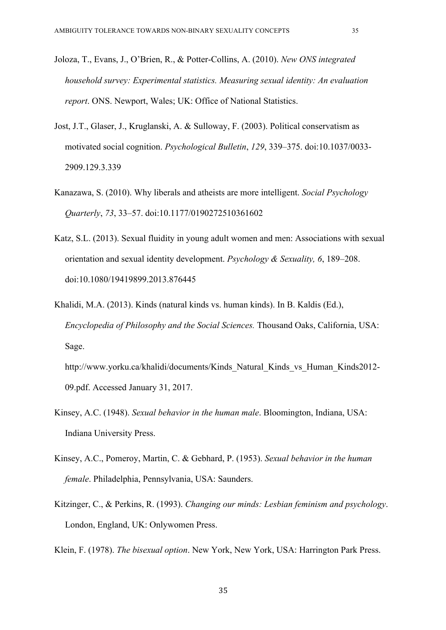- Joloza, T., Evans, J., O'Brien, R., & Potter-Collins, A. (2010). *New ONS integrated household survey: Experimental statistics. Measuring sexual identity: An evaluation report*. ONS. Newport, Wales; UK: Office of National Statistics.
- Jost, J.T., Glaser, J., Kruglanski, A. & Sulloway, F. (2003). Political conservatism as motivated social cognition. *Psychological Bulletin*, *129*, 339–375. doi:10.1037/0033- 2909.129.3.339
- Kanazawa, S. (2010). Why liberals and atheists are more intelligent. *Social Psychology Quarterly*, *73*, 33–57. doi:10.1177/0190272510361602
- Katz, S.L. (2013). Sexual fluidity in young adult women and men: Associations with sexual orientation and sexual identity development. *Psychology & Sexuality, 6*, 189–208. doi:10.1080/19419899.2013.876445
- Khalidi, M.A. (2013). Kinds (natural kinds vs. human kinds). In B. Kaldis (Ed.), *Encyclopedia of Philosophy and the Social Sciences.* Thousand Oaks, California, USA: Sage.

http://www.yorku.ca/khalidi/documents/Kinds\_Natural\_Kinds\_vs\_Human\_Kinds2012- 09.pdf. Accessed January 31, 2017.

- Kinsey, A.C. (1948). *Sexual behavior in the human male*. Bloomington, Indiana, USA: Indiana University Press.
- Kinsey, A.C., Pomeroy, Martin, C. & Gebhard, P. (1953). *Sexual behavior in the human female*. Philadelphia, Pennsylvania, USA: Saunders.
- Kitzinger, C., & Perkins, R. (1993). *Changing our minds: Lesbian feminism and psychology*. London, England, UK: Onlywomen Press.

Klein, F. (1978). *The bisexual option*. New York, New York, USA: Harrington Park Press.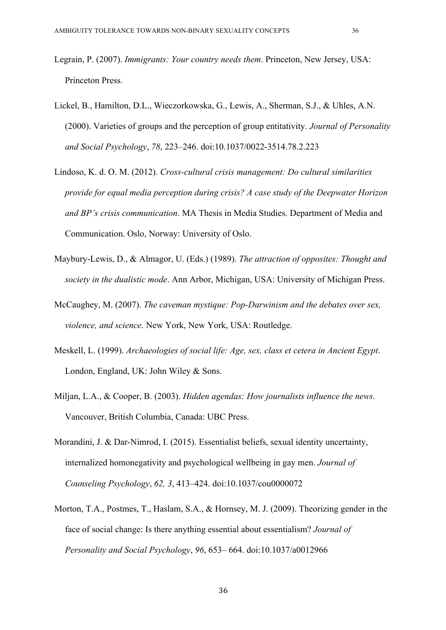- Legrain, P. (2007). *Immigrants: Your country needs them*. Princeton, New Jersey, USA: Princeton Press.
- Lickel, B., Hamilton, D.L., Wieczorkowska, G., Lewis, A., Sherman, S.J., & Uhles, A.N. (2000). Varieties of groups and the perception of group entitativity. *Journal of Personality and Social Psychology*, *78*, 223–246. doi:10.1037/0022-3514.78.2.223
- Lindoso, K. d. O. M. (2012). *Cross-cultural crisis management: Do cultural similarities provide for equal media perception during crisis? A case study of the Deepwater Horizon and BP's crisis communication*. MA Thesis in Media Studies. Department of Media and Communication. Oslo, Norway: University of Oslo.
- Maybury-Lewis, D., & Almagor, U. (Eds.) (1989). *The attraction of opposites: Thought and society in the dualistic mode*. Ann Arbor, Michigan, USA: University of Michigan Press.
- McCaughey, M. (2007). *The caveman mystique: Pop-Darwinism and the debates over sex, violence, and science*. New York, New York, USA: Routledge.
- Meskell, L. (1999). *Archaeologies of social life: Age, sex, class et cetera in Ancient Egypt*. London, England, UK: John Wiley & Sons.
- Miljan, L.A., & Cooper, B. (2003). *Hidden agendas: How journalists influence the news.* Vancouver, British Columbia, Canada: UBC Press.
- Morandini, J. & Dar-Nimrod, I. (2015). Essentialist beliefs, sexual identity uncertainty, internalized homonegativity and psychological wellbeing in gay men. *Journal of Counseling Psychology*, *62, 3*, 413–424. doi:10.1037/cou0000072
- Morton, T.A., Postmes, T., Haslam, S.A., & Hornsey, M. J. (2009). Theorizing gender in the face of social change: Is there anything essential about essentialism? *Journal of Personality and Social Psychology*, *96*, 653– 664. doi:10.1037/a0012966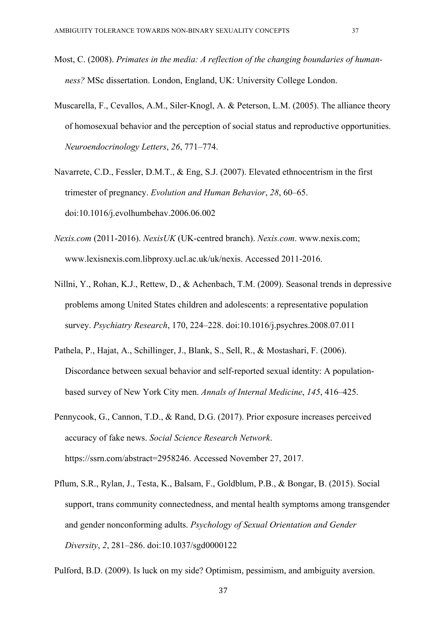- Most, C. (2008). *Primates in the media: A reflection of the changing boundaries of humanness?* MSc dissertation. London, England, UK: University College London.
- Muscarella, F., Cevallos, A.M., Siler-Knogl, A. & Peterson, L.M. (2005). The alliance theory of homosexual behavior and the perception of social status and reproductive opportunities. *Neuroendocrinology Letters*, *26*, 771–774.
- Navarrete, C.D., Fessler, D.M.T., & Eng, S.J. (2007). Elevated ethnocentrism in the first trimester of pregnancy. *Evolution and Human Behavior*, *28*, 60–65. doi:10.1016/j.evolhumbehav.2006.06.002
- *Nexis.com* (2011-2016). *NexisUK* (UK-centred branch). *Nexis.com*. www.nexis.com; www.lexisnexis.com.libproxy.ucl.ac.uk/uk/nexis. Accessed 2011-2016.
- Nillni, Y., Rohan, K.J., Rettew, D., & Achenbach, T.M. (2009). Seasonal trends in depressive problems among United States children and adolescents: a representative population survey. *Psychiatry Research*, 170, 224–228. doi:10.1016/j.psychres.2008.07.011
- Pathela, P., Hajat, A., Schillinger, J., Blank, S., Sell, R., & Mostashari, F. (2006). Discordance between sexual behavior and self-reported sexual identity: A populationbased survey of New York City men. *Annals of Internal Medicine*, *145*, 416–425.
- Pennycook, G., Cannon, T.D., & Rand, D.G. (2017). Prior exposure increases perceived accuracy of fake news. *Social Science Research Network*. https://ssrn.com/abstract=2958246. Accessed November 27, 2017.
- Pflum, S.R., Rylan, J., Testa, K., Balsam, F., Goldblum, P.B., & Bongar, B. (2015). Social support, trans community connectedness, and mental health symptoms among transgender and gender nonconforming adults. *Psychology of Sexual Orientation and Gender Diversity*, *2*, 281–286. doi:10.1037/sgd0000122

Pulford, B.D. (2009). Is luck on my side? Optimism, pessimism, and ambiguity aversion.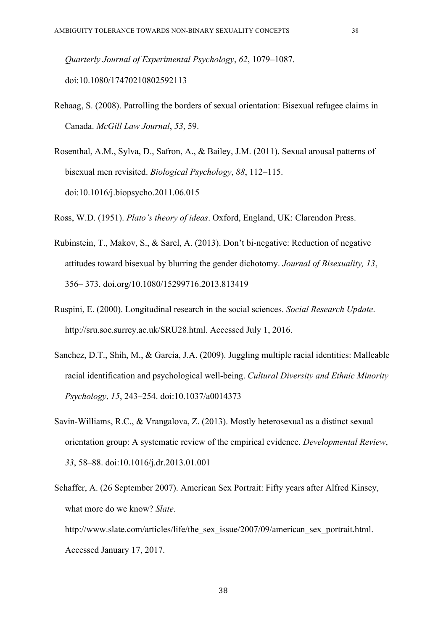*Quarterly Journal of Experimental Psychology*, *62*, 1079–1087. doi:10.1080/17470210802592113

- Rehaag, S. (2008). Patrolling the borders of sexual orientation: Bisexual refugee claims in Canada. *McGill Law Journal*, *53*, 59.
- Rosenthal, A.M., Sylva, D., Safron, A., & Bailey, J.M. (2011). Sexual arousal patterns of bisexual men revisited. *Biological Psychology*, *88*, 112–115. doi:10.1016/j.biopsycho.2011.06.015

Ross, W.D. (1951). *Plato's theory of ideas*. Oxford, England, UK: Clarendon Press.

- Rubinstein, T., Makov, S., & Sarel, A. (2013). Don't bi-negative: Reduction of negative attitudes toward bisexual by blurring the gender dichotomy. *Journal of Bisexuality, 13*, 356– 373. doi.org/10.1080/15299716.2013.813419
- Ruspini, E. (2000). Longitudinal research in the social sciences. *Social Research Update*. http://sru.soc.surrey.ac.uk/SRU28.html. Accessed July 1, 2016.
- Sanchez, D.T., Shih, M., & Garcia, J.A. (2009). Juggling multiple racial identities: Malleable racial identification and psychological well-being. *Cultural Diversity and Ethnic Minority Psychology*, *15*, 243–254. doi:10.1037/a0014373
- Savin-Williams, R.C., & Vrangalova, Z. (2013). Mostly heterosexual as a distinct sexual orientation group: A systematic review of the empirical evidence. *Developmental Review*, *33*, 58–88. doi:10.1016/j.dr.2013.01.001
- Schaffer, A. (26 September 2007). American Sex Portrait: Fifty years after Alfred Kinsey, what more do we know? *Slate*. http://www.slate.com/articles/life/the\_sex\_issue/2007/09/american\_sex\_portrait.html. Accessed January 17, 2017.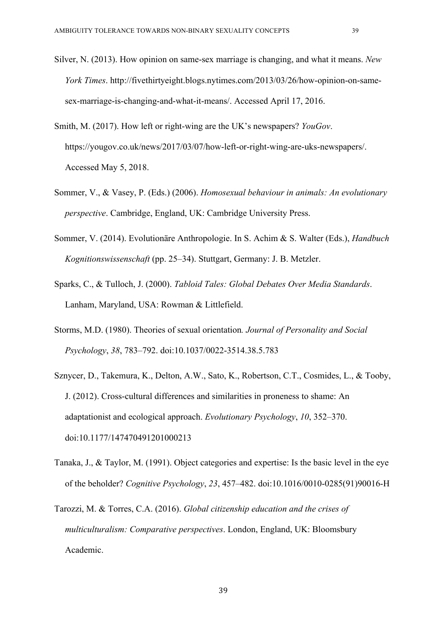- Silver, N. (2013). How opinion on same-sex marriage is changing, and what it means. *New York Times*. http://fivethirtyeight.blogs.nytimes.com/2013/03/26/how-opinion-on-samesex-marriage-is-changing-and-what-it-means/. Accessed April 17, 2016.
- Smith, M. (2017). How left or right-wing are the UK's newspapers? *YouGov*. https://yougov.co.uk/news/2017/03/07/how-left-or-right-wing-are-uks-newspapers/. Accessed May 5, 2018.
- Sommer, V., & Vasey, P. (Eds.) (2006). *Homosexual behaviour in animals: An evolutionary perspective*. Cambridge, England, UK: Cambridge University Press.
- Sommer, V. (2014). Evolutionäre Anthropologie. In S. Achim & S. Walter (Eds.), *Handbuch Kognitionswissenschaft* (pp. 25–34). Stuttgart, Germany: J. B. Metzler.
- Sparks, C., & Tulloch, J. (2000). *Tabloid Tales: Global Debates Over Media Standards*. Lanham, Maryland, USA: Rowman & Littlefield.
- Storms, M.D. (1980). Theories of sexual orientation*. Journal of Personality and Social Psychology*, *38*, 783–792. doi:10.1037/0022-3514.38.5.783
- Sznycer, D., Takemura, K., Delton, A.W., Sato, K., Robertson, C.T., Cosmides, L., & Tooby, J. (2012). Cross-cultural differences and similarities in proneness to shame: An adaptationist and ecological approach. *Evolutionary Psychology*, *10*, 352–370. doi:10.1177/147470491201000213
- Tanaka, J., & Taylor, M. (1991). Object categories and expertise: Is the basic level in the eye of the beholder? *Cognitive Psychology*, *23*, 457–482. doi:10.1016/0010-0285(91)90016-H
- Tarozzi, M. & Torres, C.A. (2016). *Global citizenship education and the crises of multiculturalism: Comparative perspectives*. London, England, UK: Bloomsbury Academic.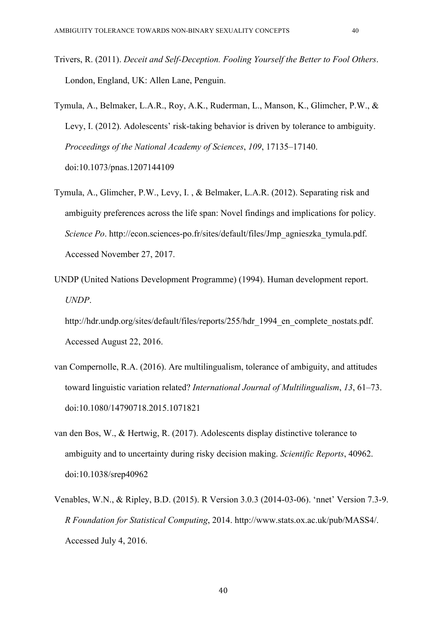- Trivers, R. (2011). *Deceit and Self-Deception. Fooling Yourself the Better to Fool Others*. London, England, UK: Allen Lane, Penguin.
- Tymula, A., Belmaker, L.A.R., Roy, A.K., Ruderman, L., Manson, K., Glimcher, P.W., & Levy, I. (2012). Adolescents' risk-taking behavior is driven by tolerance to ambiguity. *Proceedings of the National Academy of Sciences*, *109*, 17135–17140. doi:10.1073/pnas.1207144109
- Tymula, A., Glimcher, P.W., Levy, I. , & Belmaker, L.A.R. (2012). Separating risk and ambiguity preferences across the life span: Novel findings and implications for policy. *Science Po*. http://econ.sciences-po.fr/sites/default/files/Jmp\_agnieszka\_tymula.pdf. Accessed November 27, 2017.
- UNDP (United Nations Development Programme) (1994). Human development report. *UNDP*.
	- http://hdr.undp.org/sites/default/files/reports/255/hdr 1994 en complete nostats.pdf. Accessed August 22, 2016.
- van Compernolle, R.A. (2016). Are multilingualism, tolerance of ambiguity, and attitudes toward linguistic variation related? *International Journal of Multilingualism*, *13*, 61–73. doi:10.1080/14790718.2015.1071821
- van den Bos, W., & Hertwig, R. (2017). Adolescents display distinctive tolerance to ambiguity and to uncertainty during risky decision making. *Scientific Reports*, 40962. doi:10.1038/srep40962
- Venables, W.N., & Ripley, B.D. (2015). R Version 3.0.3 (2014-03-06). 'nnet' Version 7.3-9. *R Foundation for Statistical Computing*, 2014. http://www.stats.ox.ac.uk/pub/MASS4/. Accessed July 4, 2016.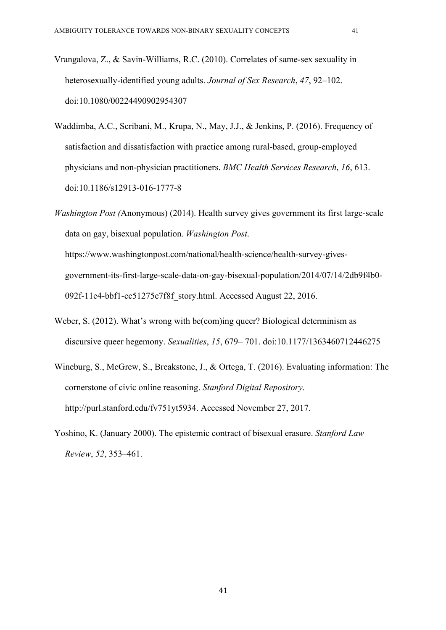- Vrangalova, Z., & Savin-Williams, R.C. (2010). Correlates of same-sex sexuality in heterosexually-identified young adults. *Journal of Sex Research*, *47*, 92–102. doi:10.1080/00224490902954307
- Waddimba, A.C., Scribani, M., Krupa, N., May, J.J., & Jenkins, P. (2016). Frequency of satisfaction and dissatisfaction with practice among rural-based, group-employed physicians and non-physician practitioners. *BMC Health Services Research*, *16*, 613. doi:10.1186/s12913-016-1777-8
- *Washington Post (*Anonymous) (2014). Health survey gives government its first large-scale data on gay, bisexual population. *Washington Post*. https://www.washingtonpost.com/national/health-science/health-survey-givesgovernment-its-first-large-scale-data-on-gay-bisexual-population/2014/07/14/2db9f4b0- 092f-11e4-bbf1-cc51275e7f8f\_story.html. Accessed August 22, 2016.
- Weber, S. (2012). What's wrong with be(com)ing queer? Biological determinism as discursive queer hegemony. *Sexualities*, *15*, 679– 701. doi:10.1177/1363460712446275
- Wineburg, S., McGrew, S., Breakstone, J., & Ortega, T. (2016). Evaluating information: The cornerstone of civic online reasoning. *Stanford Digital Repository*. http://purl.stanford.edu/fv751yt5934. Accessed November 27, 2017.
- Yoshino, K. (January 2000). The epistemic contract of bisexual erasure. *Stanford Law Review*, *52*, 353–461.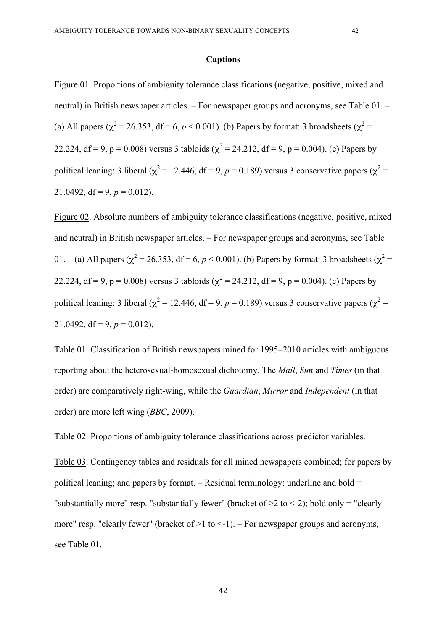#### **Captions**

Figure 01. Proportions of ambiguity tolerance classifications (negative, positive, mixed and neutral) in British newspaper articles. – For newspaper groups and acronyms, see Table 01. – (a) All papers ( $\chi^2$  = 26.353, df = 6, *p* < 0.001). (b) Papers by format: 3 broadsheets ( $\chi^2$  = 22.224, df = 9, p = 0.008) versus 3 tabloids ( $\chi^2$  = 24.212, df = 9, p = 0.004). (c) Papers by political leaning: 3 liberal ( $\chi^2$  = 12.446, df = 9, *p* = 0.189) versus 3 conservative papers ( $\chi^2$  = 21.0492, df = 9,  $p = 0.012$ ).

Figure 02. Absolute numbers of ambiguity tolerance classifications (negative, positive, mixed and neutral) in British newspaper articles. – For newspaper groups and acronyms, see Table 01. – (a) All papers ( $\chi^2$  = 26.353, df = 6, *p* < 0.001). (b) Papers by format: 3 broadsheets ( $\chi^2$  = 22.224, df = 9, p = 0.008) versus 3 tabloids ( $\chi^2$  = 24.212, df = 9, p = 0.004). (c) Papers by political leaning: 3 liberal ( $\chi^2$  = 12.446, df = 9, *p* = 0.189) versus 3 conservative papers ( $\chi^2$  = 21.0492, df = 9,  $p = 0.012$ ).

Table 01. Classification of British newspapers mined for 1995–2010 articles with ambiguous reporting about the heterosexual-homosexual dichotomy. The *Mail*, *Sun* and *Times* (in that order) are comparatively right-wing, while the *Guardian*, *Mirror* and *Independent* (in that order) are more left wing (*BBC*, 2009).

Table 02. Proportions of ambiguity tolerance classifications across predictor variables.

Table 03. Contingency tables and residuals for all mined newspapers combined; for papers by political leaning; and papers by format. – Residual terminology: underline and bold = "substantially more" resp. "substantially fewer" (bracket of  $\geq 2$  to  $\leq$ -2); bold only = "clearly more" resp. "clearly fewer" (bracket of  $>1$  to  $<-1$ ). – For newspaper groups and acronyms, see Table 01.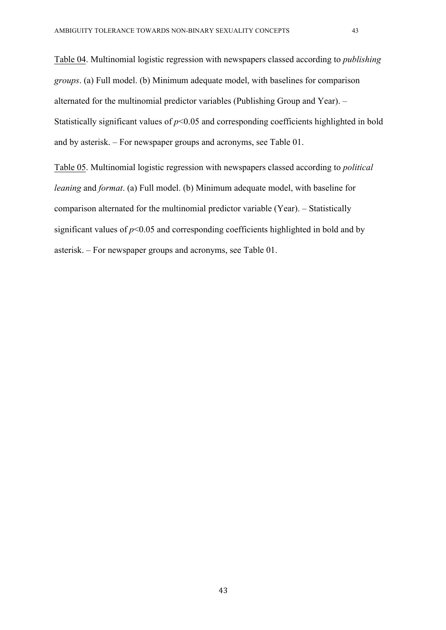Table 04. Multinomial logistic regression with newspapers classed according to *publishing groups*. (a) Full model. (b) Minimum adequate model, with baselines for comparison alternated for the multinomial predictor variables (Publishing Group and Year). – Statistically significant values of  $p<0.05$  and corresponding coefficients highlighted in bold and by asterisk. – For newspaper groups and acronyms, see Table 01.

Table 05. Multinomial logistic regression with newspapers classed according to *political leaning* and *format*. (a) Full model. (b) Minimum adequate model, with baseline for comparison alternated for the multinomial predictor variable (Year). – Statistically significant values of  $p<0.05$  and corresponding coefficients highlighted in bold and by asterisk. – For newspaper groups and acronyms, see Table 01.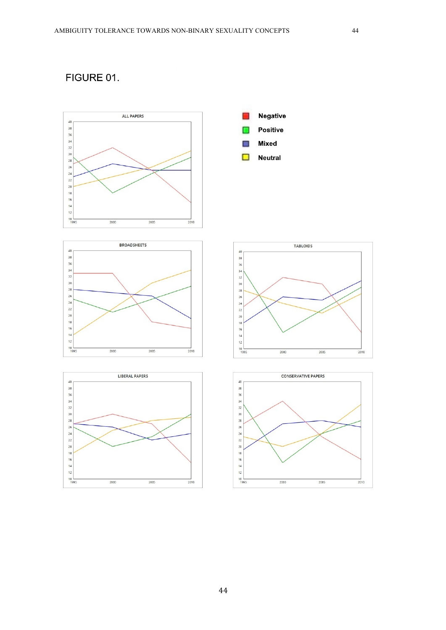# FIGURE 01.









**Negative** 

Positive Mixed **Neutral** 

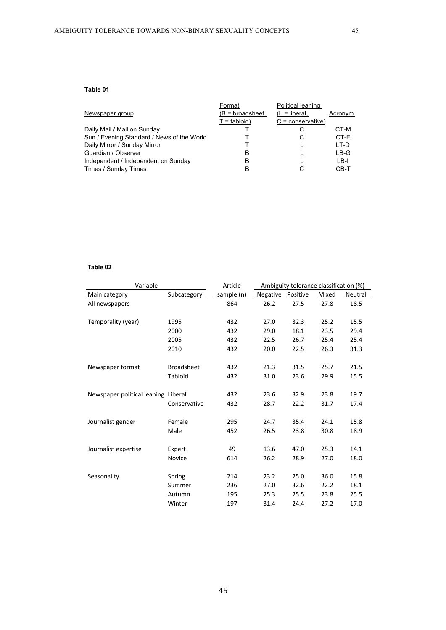|                                            | Format           | Political leaning         |         |
|--------------------------------------------|------------------|---------------------------|---------|
| Newspaper group                            | (B = broadsheet. | $(L = liberal,$           | Acronym |
|                                            | $T = tabloid$    | $C = \text{conservative}$ |         |
| Daily Mail / Mail on Sunday                |                  |                           | CT-M    |
| Sun / Evening Standard / News of the World |                  | С                         | CT-E    |
| Daily Mirror / Sunday Mirror               |                  |                           | LT-D    |
| Guardian / Observer                        | в                |                           | LB-G    |
| Independent / Independent on Sunday        | в                |                           | LB-I    |
| Times / Sunday Times                       | B                |                           | CB-T    |

### **Table 02**

| Variable                            | Article           | Ambiguity tolerance classification (%) |          |          |       |         |  |
|-------------------------------------|-------------------|----------------------------------------|----------|----------|-------|---------|--|
| Main category                       | Subcategory       | sample (n)                             | Negative | Positive | Mixed | Neutral |  |
| All newspapers                      |                   | 864                                    | 26.2     | 27.5     | 27.8  | 18.5    |  |
|                                     |                   |                                        |          |          |       |         |  |
| Temporality (year)                  | 1995              | 432                                    | 27.0     | 32.3     | 25.2  | 15.5    |  |
|                                     | 2000              | 432                                    | 29.0     | 18.1     | 23.5  | 29.4    |  |
|                                     | 2005              | 432                                    | 22.5     | 26.7     | 25.4  | 25.4    |  |
|                                     | 2010              | 432                                    | 20.0     | 22.5     | 26.3  | 31.3    |  |
|                                     |                   |                                        |          |          |       |         |  |
| Newspaper format                    | <b>Broadsheet</b> | 432                                    | 21.3     | 31.5     | 25.7  | 21.5    |  |
|                                     | Tabloid           | 432                                    | 31.0     | 23.6     | 29.9  | 15.5    |  |
|                                     |                   |                                        |          |          |       |         |  |
| Newspaper political leaning Liberal |                   | 432                                    | 23.6     | 32.9     | 23.8  | 19.7    |  |
|                                     | Conservative      | 432                                    | 28.7     | 22.2     | 31.7  | 17.4    |  |
| Journalist gender                   | Female            | 295                                    | 24.7     | 35.4     | 24.1  | 15.8    |  |
|                                     | Male              | 452                                    | 26.5     | 23.8     | 30.8  | 18.9    |  |
|                                     |                   |                                        |          |          |       |         |  |
| Journalist expertise                | Expert            | 49                                     | 13.6     | 47.0     | 25.3  | 14.1    |  |
|                                     | Novice            | 614                                    | 26.2     | 28.9     | 27.0  | 18.0    |  |
|                                     |                   |                                        |          |          |       |         |  |
| Seasonality                         | Spring            | 214                                    | 23.2     | 25.0     | 36.0  | 15.8    |  |
|                                     | Summer            | 236                                    | 27.0     | 32.6     | 22.2  | 18.1    |  |
|                                     | Autumn            | 195                                    | 25.3     | 25.5     | 23.8  | 25.5    |  |
|                                     | Winter            | 197                                    | 31.4     | 24.4     | 27.2  | 17.0    |  |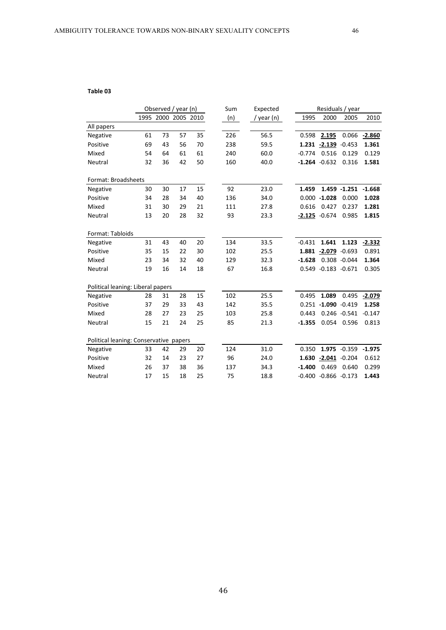#### **Table 03**

|                                        | Observed / year (n) |                     | Sum | Expected | Residuals / year |            |          |                         |                     |          |
|----------------------------------------|---------------------|---------------------|-----|----------|------------------|------------|----------|-------------------------|---------------------|----------|
|                                        |                     | 1995 2000 2005 2010 |     |          | (n)              | / year (n) | 1995     | 2000                    | 2005                | 2010     |
| All papers                             |                     |                     |     |          |                  |            |          |                         |                     |          |
| Negative                               | 61                  | 73                  | 57  | 35       | 226              | 56.5       | 0.598    | 2.195                   | 0.066               | $-2.860$ |
| Positive                               | 69                  | 43                  | 56  | 70       | 238              | 59.5       |          | 1.231 -2.139 -0.453     |                     | 1.361    |
| Mixed                                  | 54                  | 64                  | 61  | 61       | 240              | 60.0       | $-0.774$ | 0.516                   | 0.129               | 0.129    |
| Neutral                                | 32                  | 36                  | 42  | 50       | 160              | 40.0       |          | $-1.264 - 0.632$        | 0.316               | 1.581    |
| Format: Broadsheets                    |                     |                     |     |          |                  |            |          |                         |                     |          |
| Negative                               | 30                  | 30                  | 17  | 15       | 92               | 23.0       | 1.459    |                         | 1.459 -1.251 -1.668 |          |
| Positive                               | 34                  | 28                  | 34  | 40       | 136              | 34.0       |          | $0.000 - 1.028$         | 0.000               | 1.028    |
| Mixed                                  | 31                  | 30                  | 29  | 21       | 111              | 27.8       | 0.616    | 0.427                   | 0.237               | 1.281    |
| Neutral                                | 13                  | 20                  | 28  | 32       | 93               | 23.3       |          | $-2.125 -0.674$         | 0.985               | 1.815    |
| Format: Tabloids                       |                     |                     |     |          |                  |            |          |                         |                     |          |
| Negative                               | 31                  | 43                  | 40  | 20       | 134              | 33.5       | $-0.431$ | 1.641                   | 1.123               | $-2.332$ |
| Positive                               | 35                  | 15                  | 22  | 30       | 102              | 25.5       |          | 1.881 -2.079 -0.693     |                     | 0.891    |
| Mixed                                  | 23                  | 34                  | 32  | 40       | 129              | 32.3       | $-1.628$ |                         | 0.308 -0.044        | 1.364    |
| Neutral                                | 19                  | 16                  | 14  | 18       | 67               | 16.8       |          | 0.549 -0.183 -0.671     |                     | 0.305    |
| Political leaning: Liberal papers      |                     |                     |     |          |                  |            |          |                         |                     |          |
| Negative                               | 28                  | 31                  | 28  | 15       | 102              | 25.5       | 0.495    | 1.089                   | 0.495               | $-2.079$ |
| Positive                               | 37                  | 29                  | 33  | 43       | 142              | 35.5       |          | $0.251 - 1.090 - 0.419$ |                     | 1.258    |
| Mixed                                  | 28                  | 27                  | 23  | 25       | 103              | 25.8       | 0.443    |                         | $0.246 - 0.541$     | $-0.147$ |
| Neutral                                | 15                  | 21                  | 24  | 25       | 85               | 21.3       | $-1.355$ |                         | 0.054 0.596         | 0.813    |
| Political leaning: Conservative papers |                     |                     |     |          |                  |            |          |                         |                     |          |
| Negative                               | 33                  | 42                  | 29  | 20       | 124              | 31.0       | 0.350    |                         | 1.975 -0.359        | $-1.975$ |
| Positive                               | 32                  | 14                  | 23  | 27       | 96               | 24.0       |          | 1.630 -2.041 -0.204     |                     | 0.612    |
| Mixed                                  | 26                  | 37                  | 38  | 36       | 137              | 34.3       | $-1.400$ | 0.469                   | 0.640               | 0.299    |
| Neutral                                | 17                  | 15                  | 18  | 25       | 75               | 18.8       |          | $-0.400 -0.866 -0.173$  |                     | 1.443    |